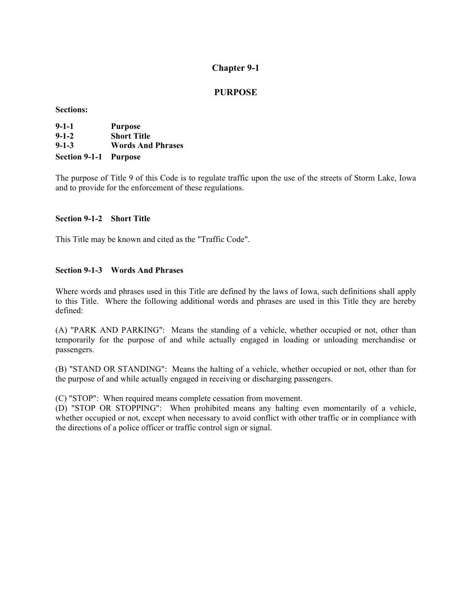# **PURPOSE**

**Sections:** 

| $9 - 1 - 1$                  | <b>Purpose</b>           |
|------------------------------|--------------------------|
| $9 - 1 - 2$                  | <b>Short Title</b>       |
| $9 - 1 - 3$                  | <b>Words And Phrases</b> |
| <b>Section 9-1-1 Purpose</b> |                          |

The purpose of Title 9 of this Code is to regulate traffic upon the use of the streets of Storm Lake, Iowa and to provide for the enforcement of these regulations.

## **Section 9-1-2 Short Title**

This Title may be known and cited as the "Traffic Code".

### **Section 9-1-3 Words And Phrases**

Where words and phrases used in this Title are defined by the laws of Iowa, such definitions shall apply to this Title. Where the following additional words and phrases are used in this Title they are hereby defined:

(A) "PARK AND PARKING": Means the standing of a vehicle, whether occupied or not, other than temporarily for the purpose of and while actually engaged in loading or unloading merchandise or passengers.

(B) "STAND OR STANDING": Means the halting of a vehicle, whether occupied or not, other than for the purpose of and while actually engaged in receiving or discharging passengers.

(C) "STOP": When required means complete cessation from movement.

(D) "STOP OR STOPPING": When prohibited means any halting even momentarily of a vehicle, whether occupied or not, except when necessary to avoid conflict with other traffic or in compliance with the directions of a police officer or traffic control sign or signal.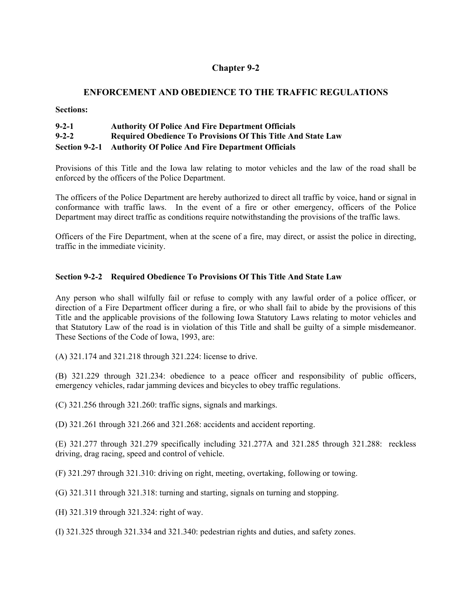## **ENFORCEMENT AND OBEDIENCE TO THE TRAFFIC REGULATIONS**

**Sections:** 

| $9 - 2 - 1$ | <b>Authority Of Police And Fire Department Officials</b>            |
|-------------|---------------------------------------------------------------------|
| $9 - 2 - 2$ | <b>Required Obedience To Provisions Of This Title And State Law</b> |
|             | Section 9-2-1 Authority Of Police And Fire Department Officials     |

Provisions of this Title and the Iowa law relating to motor vehicles and the law of the road shall be enforced by the officers of the Police Department.

The officers of the Police Department are hereby authorized to direct all traffic by voice, hand or signal in conformance with traffic laws. In the event of a fire or other emergency, officers of the Police Department may direct traffic as conditions require notwithstanding the provisions of the traffic laws.

Officers of the Fire Department, when at the scene of a fire, may direct, or assist the police in directing, traffic in the immediate vicinity.

## **Section 9-2-2 Required Obedience To Provisions Of This Title And State Law**

Any person who shall wilfully fail or refuse to comply with any lawful order of a police officer, or direction of a Fire Department officer during a fire, or who shall fail to abide by the provisions of this Title and the applicable provisions of the following Iowa Statutory Laws relating to motor vehicles and that Statutory Law of the road is in violation of this Title and shall be guilty of a simple misdemeanor. These Sections of the Code of Iowa, 1993, are:

(A) 321.174 and 321.218 through 321.224: license to drive.

(B) 321.229 through 321.234: obedience to a peace officer and responsibility of public officers, emergency vehicles, radar jamming devices and bicycles to obey traffic regulations.

(C) 321.256 through 321.260: traffic signs, signals and markings.

(D) 321.261 through 321.266 and 321.268: accidents and accident reporting.

(E) 321.277 through 321.279 specifically including 321.277A and 321.285 through 321.288: reckless driving, drag racing, speed and control of vehicle.

(F) 321.297 through 321.310: driving on right, meeting, overtaking, following or towing.

(G) 321.311 through 321.318: turning and starting, signals on turning and stopping.

(H) 321.319 through 321.324: right of way.

(I) 321.325 through 321.334 and 321.340: pedestrian rights and duties, and safety zones.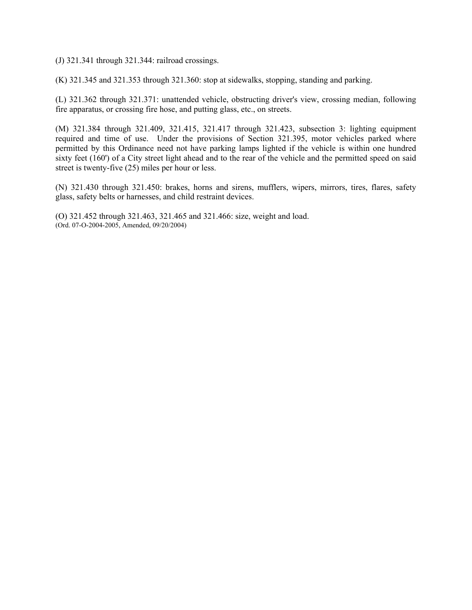(J) 321.341 through 321.344: railroad crossings.

(K) 321.345 and 321.353 through 321.360: stop at sidewalks, stopping, standing and parking.

(L) 321.362 through 321.371: unattended vehicle, obstructing driver's view, crossing median, following fire apparatus, or crossing fire hose, and putting glass, etc., on streets.

(M) 321.384 through 321.409, 321.415, 321.417 through 321.423, subsection 3: lighting equipment required and time of use. Under the provisions of Section 321.395, motor vehicles parked where permitted by this Ordinance need not have parking lamps lighted if the vehicle is within one hundred sixty feet (160') of a City street light ahead and to the rear of the vehicle and the permitted speed on said street is twenty-five (25) miles per hour or less.

(N) 321.430 through 321.450: brakes, horns and sirens, mufflers, wipers, mirrors, tires, flares, safety glass, safety belts or harnesses, and child restraint devices.

(O) 321.452 through 321.463, 321.465 and 321.466: size, weight and load. (Ord. 07-O-2004-2005, Amended, 09/20/2004)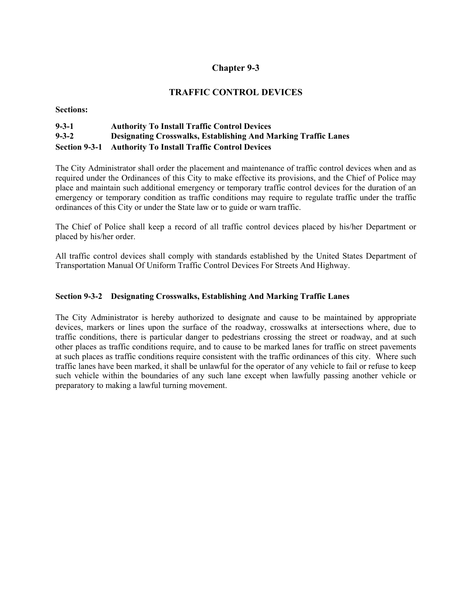# **TRAFFIC CONTROL DEVICES**

**Sections:** 

# **9-3-1 Authority To Install Traffic Control Devices 9-3-2 Designating Crosswalks, Establishing And Marking Traffic Lanes Section 9-3-1 Authority To Install Traffic Control Devices**

The City Administrator shall order the placement and maintenance of traffic control devices when and as required under the Ordinances of this City to make effective its provisions, and the Chief of Police may place and maintain such additional emergency or temporary traffic control devices for the duration of an emergency or temporary condition as traffic conditions may require to regulate traffic under the traffic ordinances of this City or under the State law or to guide or warn traffic.

The Chief of Police shall keep a record of all traffic control devices placed by his/her Department or placed by his/her order.

All traffic control devices shall comply with standards established by the United States Department of Transportation Manual Of Uniform Traffic Control Devices For Streets And Highway.

## **Section 9-3-2 Designating Crosswalks, Establishing And Marking Traffic Lanes**

The City Administrator is hereby authorized to designate and cause to be maintained by appropriate devices, markers or lines upon the surface of the roadway, crosswalks at intersections where, due to traffic conditions, there is particular danger to pedestrians crossing the street or roadway, and at such other places as traffic conditions require, and to cause to be marked lanes for traffic on street pavements at such places as traffic conditions require consistent with the traffic ordinances of this city. Where such traffic lanes have been marked, it shall be unlawful for the operator of any vehicle to fail or refuse to keep such vehicle within the boundaries of any such lane except when lawfully passing another vehicle or preparatory to making a lawful turning movement.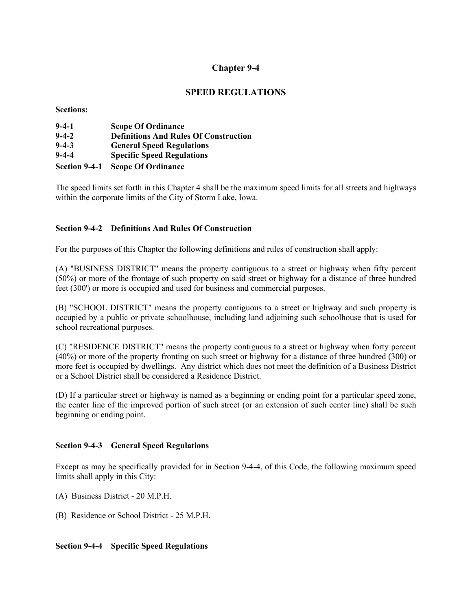# **SPEED REGULATIONS**

**Sections:** 

| $9 - 4 - 1$   | <b>Scope Of Ordinance</b>                    |
|---------------|----------------------------------------------|
| $9 - 4 - 2$   | <b>Definitions And Rules Of Construction</b> |
| $9 - 4 - 3$   | <b>General Speed Regulations</b>             |
| $9 - 4 - 4$   | <b>Specific Speed Regulations</b>            |
| Section 9-4-1 | <b>Scope Of Ordinance</b>                    |

The speed limits set forth in this Chapter 4 shall be the maximum speed limits for all streets and highways within the corporate limits of the City of Storm Lake, Iowa.

## **Section 9-4-2 Definitions And Rules Of Construction**

For the purposes of this Chapter the following definitions and rules of construction shall apply:

(A) "BUSINESS DISTRICT" means the property contiguous to a street or highway when fifty percent (50%) or more of the frontage of such property on said street or highway for a distance of three hundred feet (300') or more is occupied and used for business and commercial purposes.

(B) "SCHOOL DISTRICT" means the property contiguous to a street or highway and such property is occupied by a public or private schoolhouse, including land adjoining such schoolhouse that is used for school recreational purposes.

(C) "RESIDENCE DISTRICT" means the property contiguous to a street or highway when forty percent (40%) or more of the property fronting on such street or highway for a distance of three hundred (300) or more feet is occupied by dwellings. Any district which does not meet the definition of a Business District or a School District shall be considered a Residence District.

(D) If a particular street or highway is named as a beginning or ending point for a particular speed zone, the center line of the improved portion of such street (or an extension of such center line) shall be such beginning or ending point.

## **Section 9-4-3 General Speed Regulations**

Except as may be specifically provided for in Section 9-4-4, of this Code, the following maximum speed limits shall apply in this City:

- (A) Business District 20 M.P.H.
- (B) Residence or School District 25 M.P.H.

## **Section 9-4-4 Specific Speed Regulations**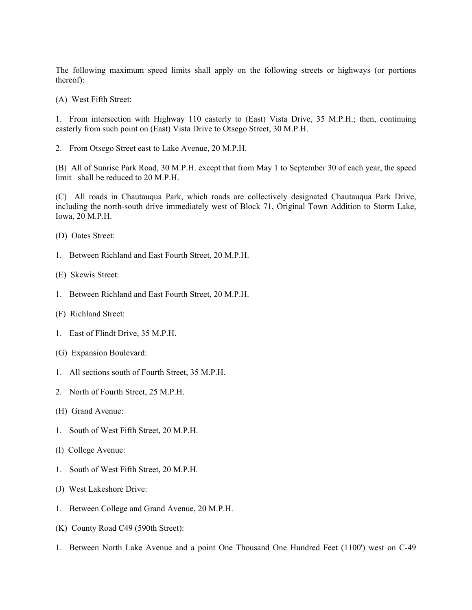The following maximum speed limits shall apply on the following streets or highways (or portions thereof):

(A) West Fifth Street:

1. From intersection with Highway 110 easterly to (East) Vista Drive, 35 M.P.H.; then, continuing easterly from such point on (East) Vista Drive to Otsego Street, 30 M.P.H.

2. From Otsego Street east to Lake Avenue, 20 M.P.H.

(B) All of Sunrise Park Road, 30 M.P.H. except that from May 1 to September 30 of each year, the speed limit shall be reduced to 20 M.P.H.

(C) All roads in Chautauqua Park, which roads are collectively designated Chautauqua Park Drive, including the north-south drive immediately west of Block 71, Original Town Addition to Storm Lake, Iowa, 20 M.P.H.

- (D) Oates Street:
- 1. Between Richland and East Fourth Street, 20 M.P.H.
- (E) Skewis Street:
- 1. Between Richland and East Fourth Street, 20 M.P.H.
- (F) Richland Street:
- 1. East of Flindt Drive, 35 M.P.H.
- (G) Expansion Boulevard:
- 1. All sections south of Fourth Street, 35 M.P.H.
- 2. North of Fourth Street, 25 M.P.H.
- (H) Grand Avenue:
- 1. South of West Fifth Street, 20 M.P.H.
- (I) College Avenue:
- 1. South of West Fifth Street, 20 M.P.H.
- (J) West Lakeshore Drive:
- 1. Between College and Grand Avenue, 20 M.P.H.
- (K) County Road C49 (590th Street):
- 1. Between North Lake Avenue and a point One Thousand One Hundred Feet (1100') west on C-49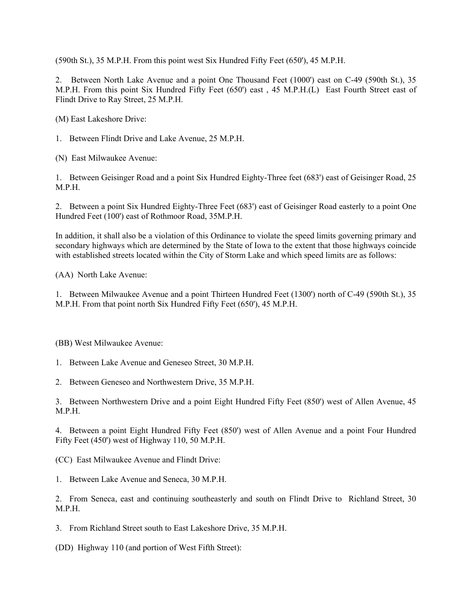(590th St.), 35 M.P.H. From this point west Six Hundred Fifty Feet (650'), 45 M.P.H.

2. Between North Lake Avenue and a point One Thousand Feet (1000') east on C-49 (590th St.), 35 M.P.H. From this point Six Hundred Fifty Feet (650') east , 45 M.P.H.(L) East Fourth Street east of Flindt Drive to Ray Street, 25 M.P.H.

(M) East Lakeshore Drive:

1. Between Flindt Drive and Lake Avenue, 25 M.P.H.

(N) East Milwaukee Avenue:

1. Between Geisinger Road and a point Six Hundred Eighty-Three feet (683') east of Geisinger Road, 25 M.P.H.

2. Between a point Six Hundred Eighty-Three Feet (683') east of Geisinger Road easterly to a point One Hundred Feet (100') east of Rothmoor Road, 35M.P.H.

In addition, it shall also be a violation of this Ordinance to violate the speed limits governing primary and secondary highways which are determined by the State of Iowa to the extent that those highways coincide with established streets located within the City of Storm Lake and which speed limits are as follows:

(AA) North Lake Avenue:

1. Between Milwaukee Avenue and a point Thirteen Hundred Feet (1300') north of C-49 (590th St.), 35 M.P.H. From that point north Six Hundred Fifty Feet (650'), 45 M.P.H.

(BB) West Milwaukee Avenue:

1. Between Lake Avenue and Geneseo Street, 30 M.P.H.

2. Between Geneseo and Northwestern Drive, 35 M.P.H.

3. Between Northwestern Drive and a point Eight Hundred Fifty Feet (850') west of Allen Avenue, 45 M.P.H.

4. Between a point Eight Hundred Fifty Feet (850') west of Allen Avenue and a point Four Hundred Fifty Feet (450') west of Highway 110, 50 M.P.H.

(CC) East Milwaukee Avenue and Flindt Drive:

1. Between Lake Avenue and Seneca, 30 M.P.H.

2. From Seneca, east and continuing southeasterly and south on Flindt Drive to Richland Street, 30 M.P.H.

3. From Richland Street south to East Lakeshore Drive, 35 M.P.H.

(DD) Highway 110 (and portion of West Fifth Street):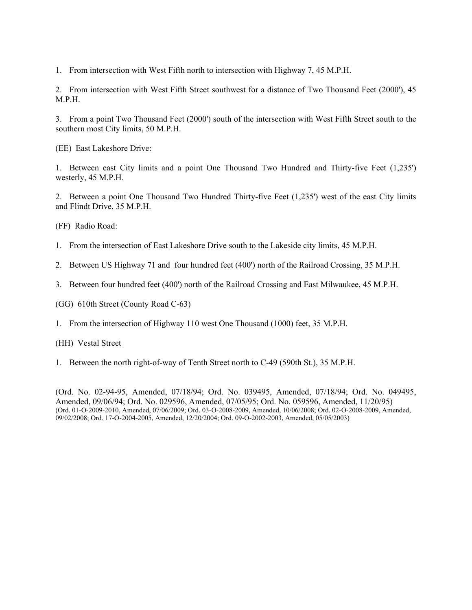1. From intersection with West Fifth north to intersection with Highway 7, 45 M.P.H.

2. From intersection with West Fifth Street southwest for a distance of Two Thousand Feet (2000'), 45 M.P.H.

3. From a point Two Thousand Feet (2000') south of the intersection with West Fifth Street south to the southern most City limits, 50 M.P.H.

(EE) East Lakeshore Drive:

1. Between east City limits and a point One Thousand Two Hundred and Thirty-five Feet (1,235') westerly, 45 M.P.H.

2. Between a point One Thousand Two Hundred Thirty-five Feet (1,235') west of the east City limits and Flindt Drive, 35 M.P.H.

(FF) Radio Road:

- 1. From the intersection of East Lakeshore Drive south to the Lakeside city limits, 45 M.P.H.
- 2. Between US Highway 71 and four hundred feet (400') north of the Railroad Crossing, 35 M.P.H.
- 3. Between four hundred feet (400') north of the Railroad Crossing and East Milwaukee, 45 M.P.H.

(GG) 610th Street (County Road C-63)

1. From the intersection of Highway 110 west One Thousand (1000) feet, 35 M.P.H.

(HH) Vestal Street

1. Between the north right-of-way of Tenth Street north to C-49 (590th St.), 35 M.P.H.

(Ord. No. 02-94-95, Amended, 07/18/94; Ord. No. 039495, Amended, 07/18/94; Ord. No. 049495, Amended, 09/06/94; Ord. No. 029596, Amended, 07/05/95; Ord. No. 059596, Amended, 11/20/95) (Ord. 01-O-2009-2010, Amended, 07/06/2009; Ord. 03-O-2008-2009, Amended, 10/06/2008; Ord. 02-O-2008-2009, Amended, 09/02/2008; Ord. 17-O-2004-2005, Amended, 12/20/2004; Ord. 09-O-2002-2003, Amended, 05/05/2003)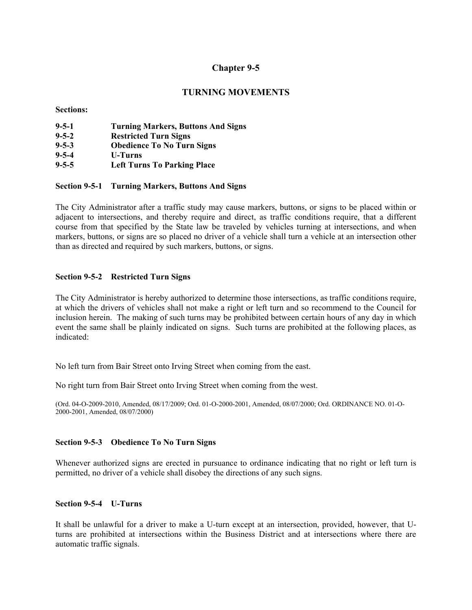## **TURNING MOVEMENTS**

**Sections:** 

| $9 - 5 - 1$ | <b>Turning Markers, Buttons And Signs</b> |
|-------------|-------------------------------------------|
| $9 - 5 - 2$ | <b>Restricted Turn Signs</b>              |
| $9 - 5 - 3$ | <b>Obedience To No Turn Signs</b>         |
| $9 - 5 - 4$ | <b>U-Turns</b>                            |
| $9 - 5 - 5$ | <b>Left Turns To Parking Place</b>        |

### **Section 9-5-1 Turning Markers, Buttons And Signs**

The City Administrator after a traffic study may cause markers, buttons, or signs to be placed within or adjacent to intersections, and thereby require and direct, as traffic conditions require, that a different course from that specified by the State law be traveled by vehicles turning at intersections, and when markers, buttons, or signs are so placed no driver of a vehicle shall turn a vehicle at an intersection other than as directed and required by such markers, buttons, or signs.

### **Section 9-5-2 Restricted Turn Signs**

The City Administrator is hereby authorized to determine those intersections, as traffic conditions require, at which the drivers of vehicles shall not make a right or left turn and so recommend to the Council for inclusion herein. The making of such turns may be prohibited between certain hours of any day in which event the same shall be plainly indicated on signs. Such turns are prohibited at the following places, as indicated:

No left turn from Bair Street onto Irving Street when coming from the east.

No right turn from Bair Street onto Irving Street when coming from the west.

(Ord. 04-O-2009-2010, Amended, 08/17/2009; Ord. 01-O-2000-2001, Amended, 08/07/2000; Ord. ORDINANCE NO. 01-O-2000-2001, Amended, 08/07/2000)

### **Section 9-5-3 Obedience To No Turn Signs**

Whenever authorized signs are erected in pursuance to ordinance indicating that no right or left turn is permitted, no driver of a vehicle shall disobey the directions of any such signs.

### **Section 9-5-4 U-Turns**

It shall be unlawful for a driver to make a U-turn except at an intersection, provided, however, that Uturns are prohibited at intersections within the Business District and at intersections where there are automatic traffic signals.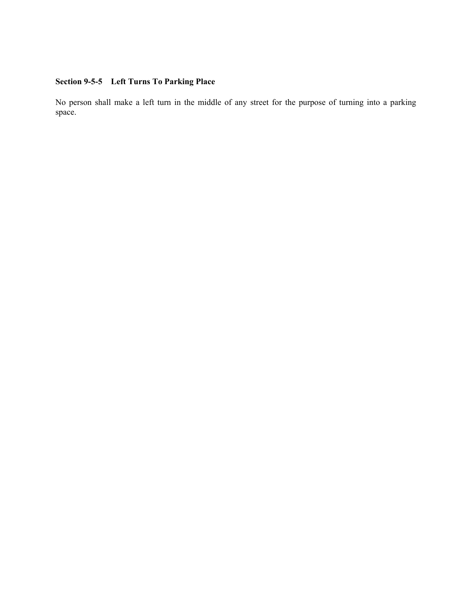# **Section 9-5-5 Left Turns To Parking Place**

No person shall make a left turn in the middle of any street for the purpose of turning into a parking space.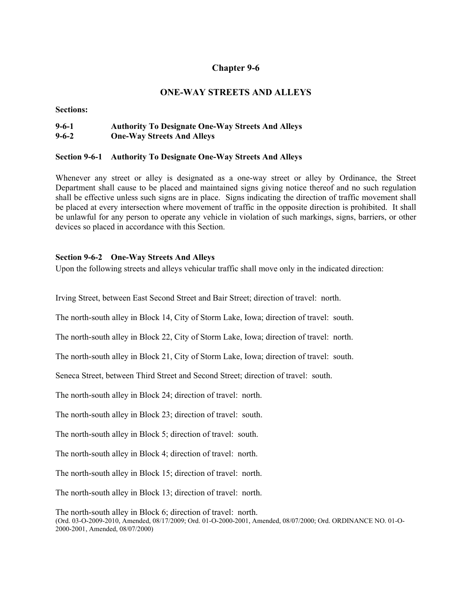# **ONE-WAY STREETS AND ALLEYS**

**Sections:** 

# **9-6-1 Authority To Designate One-Way Streets And Alleys 9-6-2 One-Way Streets And Alleys**

## **Section 9-6-1 Authority To Designate One-Way Streets And Alleys**

Whenever any street or alley is designated as a one-way street or alley by Ordinance, the Street Department shall cause to be placed and maintained signs giving notice thereof and no such regulation shall be effective unless such signs are in place. Signs indicating the direction of traffic movement shall be placed at every intersection where movement of traffic in the opposite direction is prohibited. It shall be unlawful for any person to operate any vehicle in violation of such markings, signs, barriers, or other devices so placed in accordance with this Section.

## **Section 9-6-2 One-Way Streets And Alleys**

Upon the following streets and alleys vehicular traffic shall move only in the indicated direction:

Irving Street, between East Second Street and Bair Street; direction of travel: north.

The north-south alley in Block 14, City of Storm Lake, Iowa; direction of travel: south.

The north-south alley in Block 22, City of Storm Lake, Iowa; direction of travel: north.

The north-south alley in Block 21, City of Storm Lake, Iowa; direction of travel: south.

Seneca Street, between Third Street and Second Street; direction of travel: south.

The north-south alley in Block 24; direction of travel: north.

The north-south alley in Block 23; direction of travel: south.

The north-south alley in Block 5; direction of travel: south.

The north-south alley in Block 4; direction of travel: north.

The north-south alley in Block 15; direction of travel: north.

The north-south alley in Block 13; direction of travel: north.

The north-south alley in Block 6; direction of travel: north. (Ord. 03-O-2009-2010, Amended, 08/17/2009; Ord. 01-O-2000-2001, Amended, 08/07/2000; Ord. ORDINANCE NO. 01-O-2000-2001, Amended, 08/07/2000)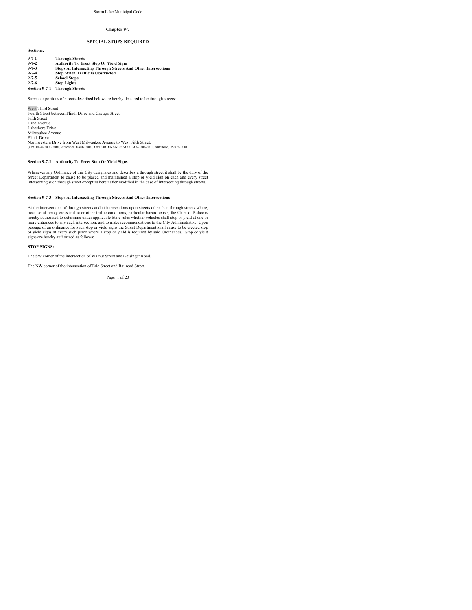### **SPECIAL STOPS REQUIRED**

| $9 - 7 - 1$   | <b>Through Streets</b>                                                                    |
|---------------|-------------------------------------------------------------------------------------------|
| $9 - 7 - 2$   | <b>Authority To Erect Stop Or Yield Signs</b>                                             |
| $9 - 7 - 3$   | <b>Stops At Intersecting Through Streets And Other Intersections</b>                      |
| $9 - 7 - 4$   | <b>Stop When Traffic Is Obstructed</b>                                                    |
| $9 - 7 - 5$   | <b>School Stops</b>                                                                       |
| $9 - 7 - 6$   | <b>Stop Lights</b>                                                                        |
| Section 9-7-1 | <b>Through Streets</b>                                                                    |
|               | Streets or portions of streets described below are hereby declared to be through streets: |
|               |                                                                                           |

West Third Street Fourth Street between Flindt Drive and Cayuga Street Fifth Street Lake Avenue Lakeshore Drive Milwaukee Avenue Flindt Drive Northwestern Drive from West Milwaukee Avenue to West Fifth Street. (Ord. 01-O-2000-2001, Amended, 08/07/2000; Ord. ORDINANCE NO. 01-O-2000-2001, Amended, 08/07/2000)

### **Section 9-7-2 Authority To Erect Stop Or Yield Signs**

Whenever any Ordinance of this City designates and describes a through street it shall be the duty of the<br>Street Department to cause to be placed and maintained a stop or yield sign on each and every street<br>intersecting su

### **Section 9-7-3 Stops At Intersecting Through Streets And Other Intersections**

At the intersections of through streets and at intersections upon streets other than through streets where, because of heavy cross traffic or other traffic conditions, particular hazard exists, the Chief of Police is<br>thereby authorized to determine under applicable State rules whether vehicles shall stop or yield at one or<br>more signs are hereby authorized as follows:

#### **STOP SIGNS:**

**Sections:**

The SW corner of the intersection of Walnut Street and Geisinger Road.

The NW corner of the intersection of Erie Street and Railroad Street.

Page 1 of 23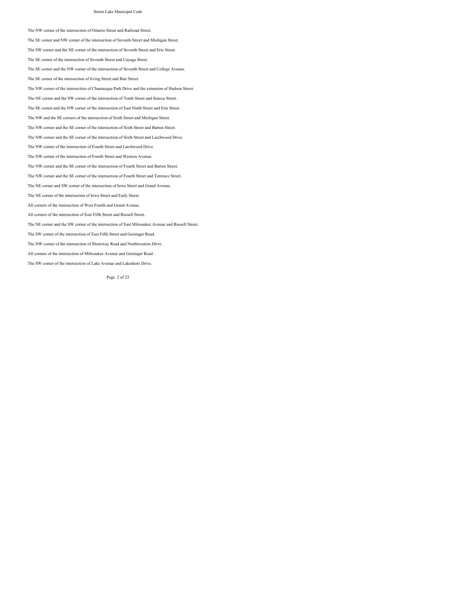The NW corner of the intersection of Ontario Street and Railroad Street.

The SE corner and NW corner of the intersection of Seventh Street and Michigan Street.

The SW corner and the NE corner of the intersection of Seventh Street and Erie Street.

The SE corner of the intersection of Seventh Street and Cayuga Street.

The SE corner and the NW corner of the intersection of Seventh Street and College Avenue.

The SE corner of the intersection of Irving Street and Bair Street.

The NW corner of the intersection of Chautauqua Park Drive and the extension of Hudson Street.

The NE corner and the SW corner of the intersection of Tenth Street and Seneca Street.

The SE corner and the NW corner of the intersection of East Ninth Street and Erie Street.

The NW and the SE corners of the intersection of Sixth Street and Michigan Street.

The NW corner and the SE corner of the intersection of Sixth Street and Barton Street.

The NW corner and the SE corner of the intersection of Sixth Street and Larchwood Drive.

The NW corner of the intersection of Fourth Street and Larchwood Drive.

The NW corner of the intersection of Fourth Street and Western Avenue.

The NW corner and the SE corner of the intersection of Fourth Street and Barton Street.

The NW corner and the SE corner of the intersection of Fourth Street and Terrence Street.

The NE corner and SW corner of the intersection of Iowa Street and Grand Avenue.

The NE corner of the intersection of Iowa Street and Early Street.

All corners of the intersection of West Fourth and Grand Avenue.

All corners of the intersection of East Fifth Street and Russell Street.

The NE corner and the SW corner of the intersection of East Milwaukee Avenue and Russell Street.

The SW corner of the intersection of East Fifth Street and Geisinger Road.

The NW corner of the intersection of Shoreway Road and Northwestern Drive.

All corners of the intersection of Milwaukee Avenue and Geisinger Road.

The SW corner of the intersection of Lake Avenue and Lakeshore Drive.

Page 2 of 23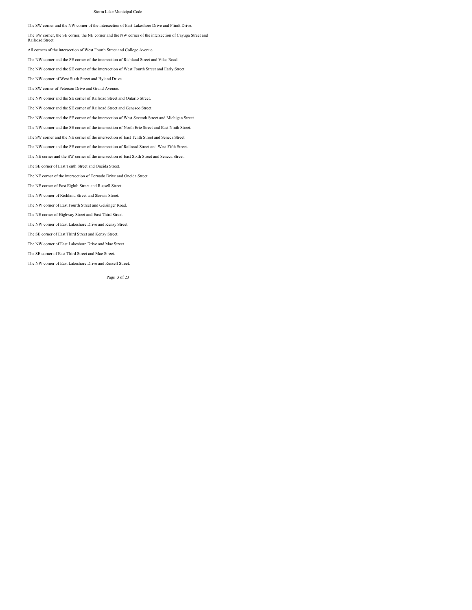The SW corner and the NW corner of the intersection of East Lakeshore Drive and Flindt Drive.

The SW corner, the SE corner, the NE corner and the NW corner of the intersection of Cayuga Street and Railroad Street.

All corners of the intersection of West Fourth Street and College Avenue.

The NW corner and the SE corner of the intersection of Richland Street and Vilas Road.

The NW corner and the SE corner of the intersection of West Fourth Street and Early Street.

The NW corner of West Sixth Street and Hyland Drive.

The SW corner of Peterson Drive and Grand Avenue.

The NW corner and the SE corner of Railroad Street and Ontario Street.

The NW corner and the SE corner of Railroad Street and Geneseo Street.

The NW corner and the SE corner of the intersection of West Seventh Street and Michigan Street.

The NW corner and the SE corner of the intersection of North Erie Street and East Ninth Street.

The SW corner and the NE corner of the intersection of East Tenth Street and Seneca Street.

The NW corner and the SE corner of the intersection of Railroad Street and West Fifth Street.

The NE corner and the SW corner of the intersection of East Sixth Street and Seneca Street.

The SE corner of East Tenth Street and Oneida Street.

The NE corner of the intersection of Tornado Drive and Oneida Street.

The NE corner of East Eighth Street and Russell Street.

The NW corner of Richland Street and Skewis Street.

The NW corner of East Fourth Street and Geisinger Road.

The NE corner of Highway Street and East Third Street.

The NW corner of East Lakeshore Drive and Kenzy Street.

The SE corner of East Third Street and Kenzy Street.

The NW corner of East Lakeshore Drive and Mae Street.

The SE corner of East Third Street and Mae Street.

The NW corner of East Lakeshore Drive and Russell Street.

Page 3 of 23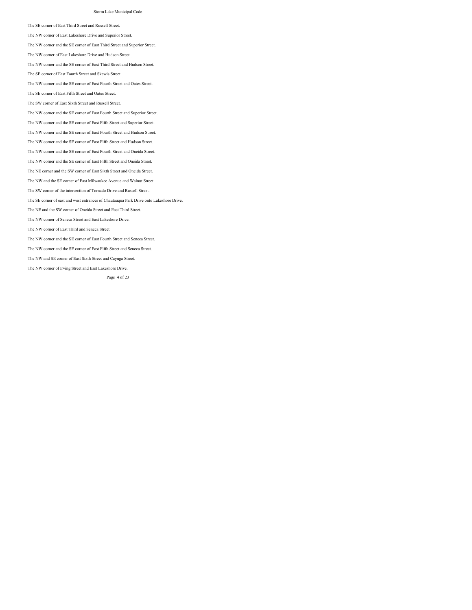The SE corner of East Third Street and Russell Street.

The NW corner of East Lakeshore Drive and Superior Street.

The NW corner and the SE corner of East Third Street and Superior Street.

The NW corner of East Lakeshore Drive and Hudson Street.

The NW corner and the SE corner of East Third Street and Hudson Street.

The SE corner of East Fourth Street and Skewis Street.

The NW corner and the SE corner of East Fourth Street and Oates Street.

The SE corner of East Fifth Street and Oates Street.

The SW corner of East Sixth Street and Russell Street.

The NW corner and the SE corner of East Fourth Street and Superior Street.

The NW corner and the SE corner of East Fifth Street and Superior Street.

The NW corner and the SE corner of East Fourth Street and Hudson Street.

The NW corner and the SE corner of East Fifth Street and Hudson Street.

The NW corner and the SE corner of East Fourth Street and Oneida Street.

The NW corner and the SE corner of East Fifth Street and Oneida Street.

The NE corner and the SW corner of East Sixth Street and Oneida Street.

The NW and the SE corner of East Milwaukee Avenue and Walnut Street.

The SW corner of the intersection of Tornado Drive and Russell Street.

The SE corner of east and west entrances of Chautauqua Park Drive onto Lakeshore Drive.

The NE and the SW corner of Oneida Street and East Third Street.

The NW corner of Seneca Street and East Lakeshore Drive.

The NW corner of East Third and Seneca Street.

The NW corner and the SE corner of East Fourth Street and Seneca Street.

The NW corner and the SE corner of East Fifth Street and Seneca Street.

The NW and SE corner of East Sixth Street and Cayuga Street.

The NW corner of Irving Street and East Lakeshore Drive.

Page 4 of 23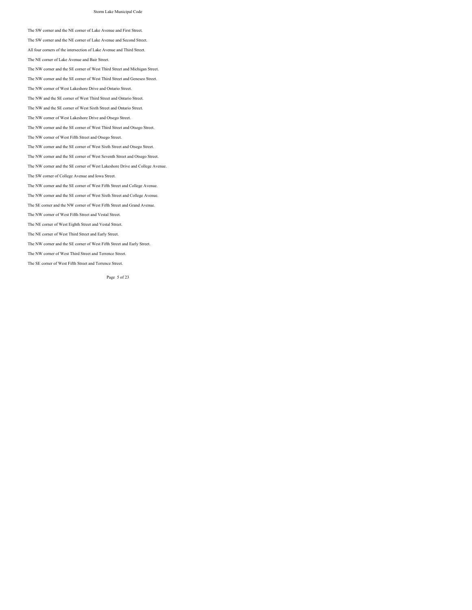The SW corner and the NE corner of Lake Avenue and First Street.

The SW corner and the NE corner of Lake Avenue and Second Street.

All four corners of the intersection of Lake Avenue and Third Street.

The NE corner of Lake Avenue and Bair Street.

The NW corner and the SE corner of West Third Street and Michigan Street.

The NW corner and the SE corner of West Third Street and Geneseo Street.

The NW corner of West Lakeshore Drive and Ontario Street.

The NW and the SE corner of West Third Street and Ontario Street.

The NW and the SE corner of West Sixth Street and Ontario Street.

The NW corner of West Lakeshore Drive and Otsego Street.

The NW corner and the SE corner of West Third Street and Otsego Street.

The NW corner of West Fifth Street and Otsego Street.

The NW corner and the SE corner of West Sixth Street and Otsego Street.

The NW corner and the SE corner of West Seventh Street and Otsego Street.

The NW corner and the SE corner of West Lakeshore Drive and College Avenue.

The SW corner of College Avenue and Iowa Street.

The NW corner and the SE corner of West Fifth Street and College Avenue.

The NW corner and the SE corner of West Sixth Street and College Avenue.

The SE corner and the NW corner of West Fifth Street and Grand Avenue.

The NW corner of West Fifth Street and Vestal Street.

The NE corner of West Eighth Street and Vestal Street.

The NE corner of West Third Street and Early Street.

The NW corner and the SE corner of West Fifth Street and Early Street.

The NW corner of West Third Street and Terrence Street.

The SE corner of West Fifth Street and Terrence Street.

Page 5 of 23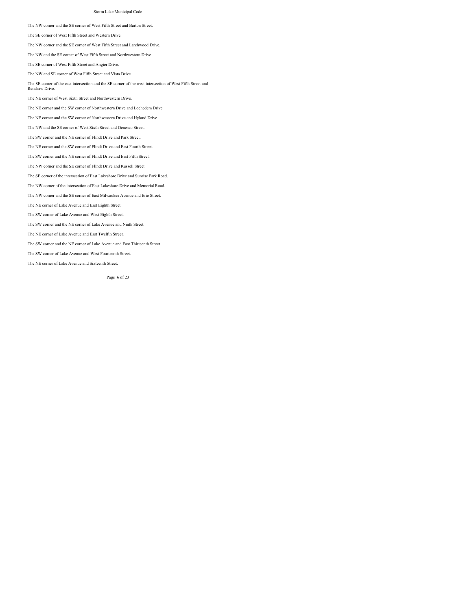The NW corner and the SE corner of West Fifth Street and Barton Street.

The SE corner of West Fifth Street and Western Drive.

The NW corner and the SE corner of West Fifth Street and Larchwood Drive.

The NW and the SE corner of West Fifth Street and Northwestern Drive.

The SE corner of West Fifth Street and Angier Drive.

The NW and SE corner of West Fifth Street and Vista Drive.

The SE corner of the east intersection and the SE corner of the west intersection of West Fifth Street and Renshaw Drive.

The NE corner of West Sixth Street and Northwestern Drive.

The NE corner and the SW corner of Northwestern Drive and Lochedem Drive.

The NE corner and the SW corner of Northwestern Drive and Hyland Drive.

The NW and the SE corner of West Sixth Street and Geneseo Street.

The SW corner and the NE corner of Flindt Drive and Park Street.

The NE corner and the SW corner of Flindt Drive and East Fourth Street.

The SW corner and the NE corner of Flindt Drive and East Fifth Street.

The NW corner and the SE corner of Flindt Drive and Russell Street.

The SE corner of the intersection of East Lakeshore Drive and Sunrise Park Road.

The NW corner of the intersection of East Lakeshore Drive and Memorial Road.

The NW corner and the SE corner of East Milwaukee Avenue and Erie Street.

The NE corner of Lake Avenue and East Eighth Street.

The SW corner of Lake Avenue and West Eighth Street.

The SW corner and the NE corner of Lake Avenue and Ninth Street.

The NE corner of Lake Avenue and East Twelfth Street.

The SW corner and the NE corner of Lake Avenue and East Thirteenth Street.

The SW corner of Lake Avenue and West Fourteenth Street.

The NE corner of Lake Avenue and Sixteenth Street.

Page 6 of 23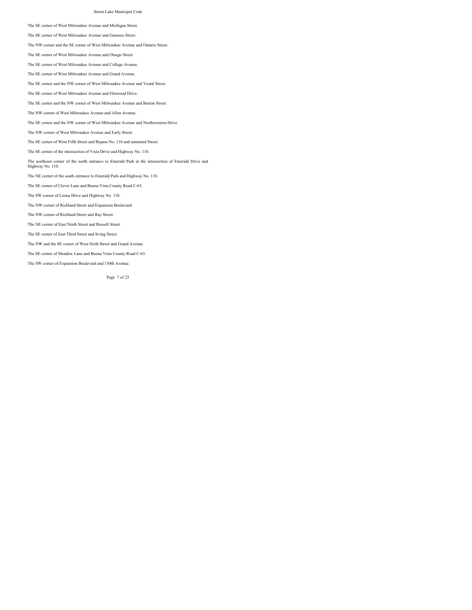The SE corner of West Milwaukee Avenue and Michigan Street.

The SE corner of West Milwaukee Avenue and Geneseo Street.

The NW corner and the SE corner of West Milwaukee Avenue and Ontario Street.

The SE corner of West Milwaukee Avenue and Otsego Street.

The SE corner of West Milwaukee Avenue and College Avenue.

The SE corner of West Milwaukee Avenue and Grand Avenue.

The SE corner and the NW corner of West Milwaukee Avenue and Vestal Street.

The SE corner of West Milwaukee Avenue and Elmwood Drive.

The SE corner and the NW corner of West Milwaukee Avenue and Barton Street.

The NW corner of West Milwaukee Avenue and Allen Avenue.

The SE corner and the NW corner of West Milwaukee Avenue and Northwestern Drive.

The NW corner of West Milwaukee Avenue and Early Street.

The SE corner of West Fifth Street and Bypass No. 110 and unnamed Street.

The SE corner of the intersection of Vista Drive and Highway No. 110.

The northeast corner of the north entrance to Emerald Park at the intersection of Emerald Drive and Highway No. 110.

The NE corner of the south entrance to Emerald Park and Highway No. 110.

The SE corner of Clover Lane and Buena Vista County Road C-63.

The SW corner of Leona Drive and Highway No. 110.

The NW corner of Richland Street and Expansion Boulevard.

The NW corner of Richland Street and Ray Street.

The NE corner of East Ninth Street and Russell Street.

The SE corner of East Third Street and Irving Street.

The NW and the SE corner of West Sixth Street and Grand Avenue.

The SE corner of Meadow Lane and Buena Vista County Road C-63.

The SW corner of Expansion Boulevard and 130th Avenue.

Page 7 of 23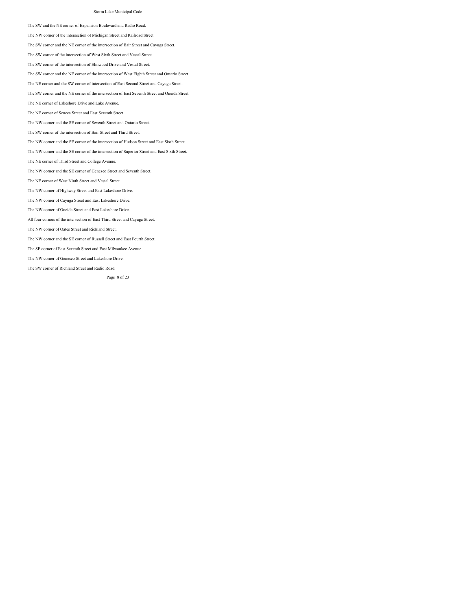The SW and the NE corner of Expansion Boulevard and Radio Road.

The NW corner of the intersection of Michigan Street and Railroad Street.

The SW corner and the NE corner of the intersection of Bair Street and Cayuga Street.

The SW corner of the intersection of West Sixth Street and Vestal Street.

The SW corner of the intersection of Elmwood Drive and Vestal Street.

The SW corner and the NE corner of the intersection of West Eighth Street and Ontario Street.

The NE corner and the SW corner of intersection of East Second Street and Cayuga Street.

The SW corner and the NE corner of the intersection of East Seventh Street and Oneida Street.

The NE corner of Lakeshore Drive and Lake Avenue.

The NE corner of Seneca Street and East Seventh Street.

The NW corner and the SE corner of Seventh Street and Ontario Street.

The SW corner of the intersection of Bair Street and Third Street.

The NW corner and the SE corner of the intersection of Hudson Street and East Sixth Street.

The NW corner and the SE corner of the intersection of Superior Street and East Sixth Street.

The NE corner of Third Street and College Avenue.

The NW corner and the SE corner of Geneseo Street and Seventh Street.

The NE corner of West Ninth Street and Vestal Street.

The NW corner of Highway Street and East Lakeshore Drive.

The NW corner of Cayuga Street and East Lakeshore Drive.

The NW corner of Oneida Street and East Lakeshore Drive.

All four corners of the intersection of East Third Street and Cayuga Street.

The NW corner of Oates Street and Richland Street.

The NW corner and the SE corner of Russell Street and East Fourth Street.

The SE corner of East Seventh Street and East Milwaukee Avenue.

The NW corner of Geneseo Street and Lakeshore Drive.

The SW corner of Richland Street and Radio Road.

Page 8 of 23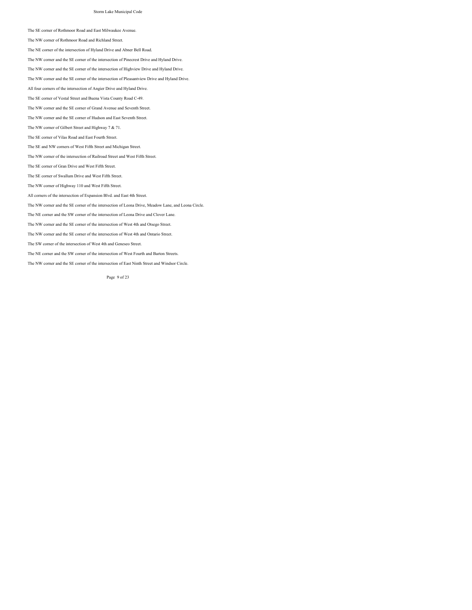The SE corner of Rothmoor Road and East Milwaukee Avenue.

The NW corner of Rothmoor Road and Richland Street.

The NE corner of the intersection of Hyland Drive and Abner Bell Road.

The NW corner and the SE corner of the intersection of Pinecrest Drive and Hyland Drive.

The NW corner and the SE corner of the intersection of Highview Drive and Hyland Drive.

The NW corner and the SE corner of the intersection of Pleasantview Drive and Hyland Drive.

All four corners of the intersection of Angier Drive and Hyland Drive.

The SE corner of Vestal Street and Buena Vista County Road C-49.

The NW corner and the SE corner of Grand Avenue and Seventh Street.

The NW corner and the SE corner of Hudson and East Seventh Street.

The NW corner of Gilbert Street and Highway 7 & 71.

The SE corner of Vilas Road and East Fourth Street.

The SE and NW corners of West Fifth Street and Michigan Street.

The NW corner of the intersection of Railroad Street and West Fifth Street.

The SE corner of Gran Drive and West Fifth Street.

The SE corner of Swallum Drive and West Fifth Street.

The NW corner of Highway 110 and West Fifth Street.

All corners of the intersection of Expansion Blvd. and East 4th Street.

The NW corner and the SE corner of the intersection of Leona Drive, Meadow Lane, and Leona Circle.

The NE corner and the SW corner of the intersection of Leona Drive and Clover Lane.

The NW corner and the SE corner of the intersection of West 4th and Otsego Street.

The NW corner and the SE corner of the intersection of West 4th and Ontario Street.

The SW corner of the intersection of West 4th and Geneseo Street.

The NE corner and the SW corner of the intersection of West Fourth and Barton Streets.

The NW corner and the SE corner of the intersection of East Ninth Street and Windsor Circle.

Page 9 of 23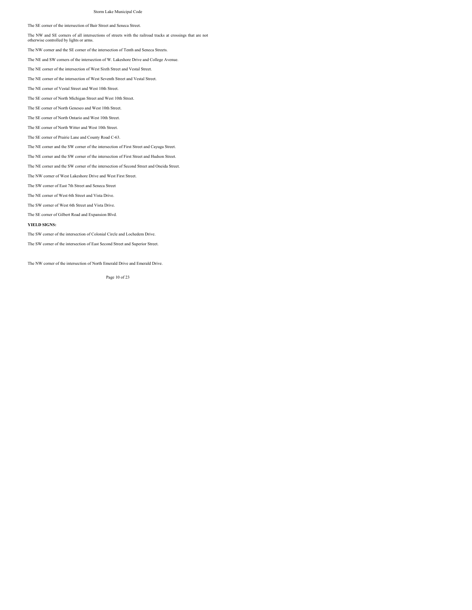The SE corner of the intersection of Bair Street and Seneca Street.

The NW and SE corners of all intersections of streets with the railroad tracks at crossings that are not otherwise controlled by lights or arms.

The NW corner and the SE corner of the intersection of Tenth and Seneca Streets.

The NE and SW corners of the intersection of W. Lakeshore Drive and College Avenue.

The NE corner of the intersection of West Sixth Street and Vestal Street.

The NE corner of the intersection of West Seventh Street and Vestal Street.

The NE corner of Vestal Street and West 10th Street.

The SE corner of North Michigan Street and West 10th Street.

The SE corner of North Geneseo and West 10th Street.

The SE corner of North Ontario and West 10th Street.

The SE corner of North Witter and West 10th Street.

The SE corner of Prairie Lane and County Road C-63.

The NE corner and the SW corner of the intersection of First Street and Cayuga Street.

The NE corner and the SW corner of the intersection of First Street and Hudson Street.

The NE corner and the SW corner of the intersection of Second Street and Oneida Street.

The NW corner of West Lakeshore Drive and West First Street.

The SW corner of East 7th Street and Seneca Street

The NE corner of West 6th Street and Vista Drive.

The SW corner of West 6th Street and Vista Drive.

The SE corner of Gilbert Road and Expansion Blvd.

#### **YIELD SIGNS:**

The SW corner of the intersection of Colonial Circle and Lochedem Drive.

The SW corner of the intersection of East Second Street and Superior Street.

The NW corner of the intersection of North Emerald Drive and Emerald Drive.

Page 10 of 23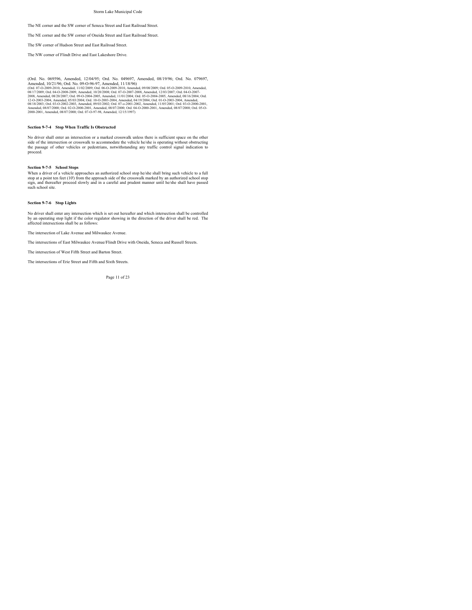The NE corner and the SW corner of Seneca Street and East Railroad Street.

The NE corner and the SW corner of Oneida Street and East Railroad Street.

The SW corner of Hudson Street and East Railroad Street.

The NW corner of Flindt Drive and East Lakeshore Drive.

(Ord. No. 069596, Amended, 12004/95; Ord. No. 049697, Amended, 08/19/96; Ord. No. 079697, Amended, 10021/96; Ord. No. 079697, Amended, 1002009, Ord. 07-0209-2010, Amended, 07-0209-2010, Amended, 11/02/2009; Ord. 06-0209-20

#### **Section 9-7-4 Stop When Traffic Is Obstructed**

No driver shall enter an intersection or a marked crosswalk unless there is sufficient space on the other<br>side of the intersection or crosswalk to accommodate the vehicle he/she is operating without obstructing<br>the passage proceed.

### **Section 9-7-5 School Stops**

When a driver of a vehicle approaches an authorized school stop he/she shall bring such vehicle to a full<br>stop at a point ten feet (10') from the approach side of the crosswalk marked by an authorized school stop<br>sign, and

### **Section 9-7-6 Stop Lights**

No driver shall enter any intersection which is set out hereafter and which intersection shall be controlled by an operating stop light if the color regulator showing in the direction of the driver shall be red. The affected intersections shall be as follows:

The intersection of Lake Avenue and Milwaukee Avenue.

The intersections of East Milwaukee Avenue/Flindt Drive with Oneida, Seneca and Russell Streets.

The intersection of West Fifth Street and Barton Street.

The intersections of Erie Street and Fifth and Sixth Streets.

Page 11 of 23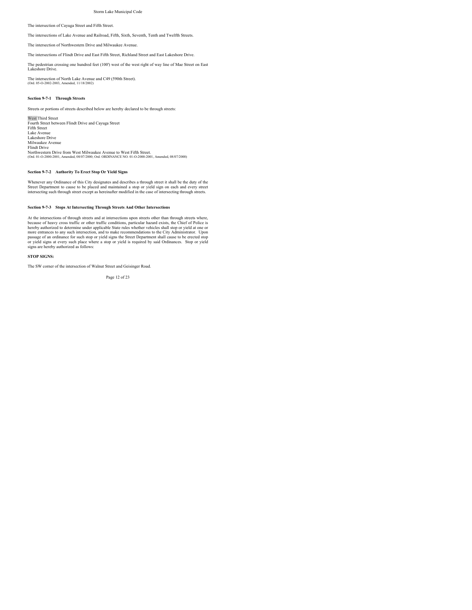The intersection of Cayuga Street and Fifth Street.

The intersections of Lake Avenue and Railroad, Fifth, Sixth, Seventh, Tenth and Twelfth Streets.

The intersection of Northwestern Drive and Milwaukee Avenue.

The intersections of Flindt Drive and East Fifth Street, Richland Street and East Lakeshore Drive.

The pedestrian crossing one hundred feet (100') west of the west right of way line of Mae Street on East Lakeshore Drive.

The intersection of North Lake Avenue and C49 (590th Street). (Ord. 05-O-2002-2003, Amended, 11/18/2002)

#### **Section 9-7-1 Through Streets**

Streets or portions of streets described below are hereby declared to be through streets:

West Third Street Fourth Street between Flindt Drive and Cayuga Street Fifth Street Lake Avenue Lakeshore Drive Milwaukee Avenue Flindt Drive Northwestern Drive from West Milwaukee Avenue to West Fifth Street. (Ord. 01-O-2000-2001, Amended, 08/07/2000; Ord. ORDINANCE NO. 01-O-2000-2001, Amended, 08/07/2000)

### **Section 9-7-2 Authority To Erect Stop Or Yield Signs**

Whenever any Ordinance of this City designates and describes a through street it shall be the duty of the<br>Street Department to cause to be placed and maintained a stop or yield sign on each and every street<br>intersecting su

### **Section 9-7-3 Stops At Intersecting Through Streets And Other Intersections**

At the intersections of through streets and at intersections upon streets other than through streets where, because of heavy cross traffic or other traffic conditions, particular hazard exists, the Chief of Police is<br>hereby authorized to determine under applicable State rules whether vehicles shall stop or yield at one or<br>more e passage of an ordinance for such stop or yield signs the Street Department shall cause to be erected stop<br>or yield signs at every such place where a stop or yield is required by said Ordinances. Stop or yield<br>signs are her

#### **STOP SIGNS:**

The SW corner of the intersection of Walnut Street and Geisinger Road.

Page 12 of 23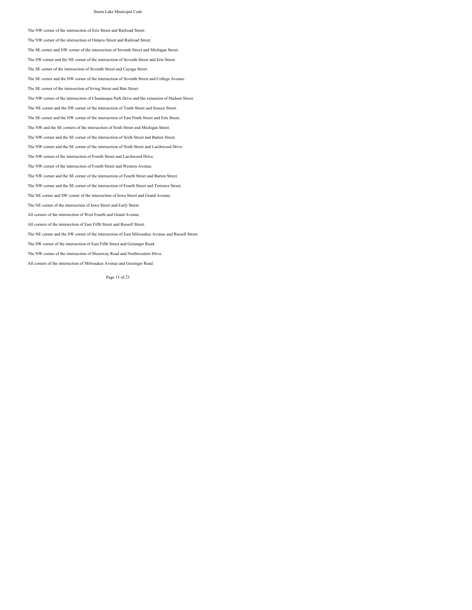The NW corner of the intersection of Erie Street and Railroad Street.

The NW corner of the intersection of Ontario Street and Railroad Street.

The SE corner and NW corner of the intersection of Seventh Street and Michigan Street.

The SW corner and the NE corner of the intersection of Seventh Street and Erie Street.

The SE corner of the intersection of Seventh Street and Cayuga Street.

The SE corner and the NW corner of the intersection of Seventh Street and College Avenue.

The SE corner of the intersection of Irving Street and Bair Street.

The NW corner of the intersection of Chautauqua Park Drive and the extension of Hudson Street.

The NE corner and the SW corner of the intersection of Tenth Street and Seneca Street.

The SE corner and the NW corner of the intersection of East Ninth Street and Erie Street.

The NW and the SE corners of the intersection of Sixth Street and Michigan Street.

The NW corner and the SE corner of the intersection of Sixth Street and Barton Street.

The NW corner and the SE corner of the intersection of Sixth Street and Larchwood Drive.

The NW corner of the intersection of Fourth Street and Larchwood Drive.

The NW corner of the intersection of Fourth Street and Western Avenue.

The NW corner and the SE corner of the intersection of Fourth Street and Barton Street.

The NW corner and the SE corner of the intersection of Fourth Street and Terrence Street.

The NE corner and SW corner of the intersection of Iowa Street and Grand Avenue.

The NE corner of the intersection of Iowa Street and Early Street.

All corners of the intersection of West Fourth and Grand Avenue.

All corners of the intersection of East Fifth Street and Russell Street.

The NE corner and the SW corner of the intersection of East Milwaukee Avenue and Russell Street.

The SW corner of the intersection of East Fifth Street and Geisinger Road.

The NW corner of the intersection of Shoreway Road and Northwestern Drive.

All corners of the intersection of Milwaukee Avenue and Geisinger Road.

Page 13 of 23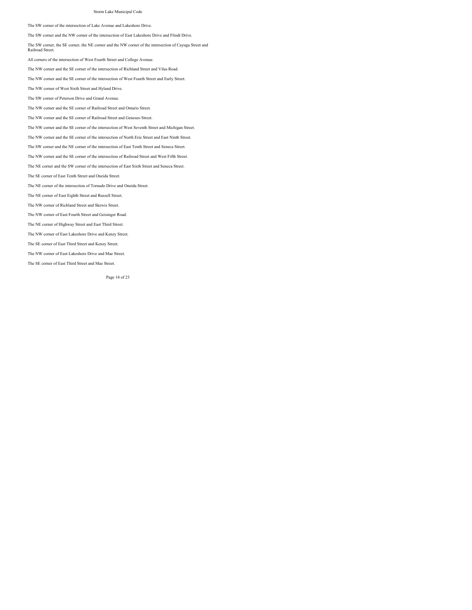The SW corner of the intersection of Lake Avenue and Lakeshore Drive.

The SW corner and the NW corner of the intersection of East Lakeshore Drive and Flindt Drive.

The SW corner, the SE corner, the NE corner and the NW corner of the intersection of Cayuga Street and Railroad Street.

All corners of the intersection of West Fourth Street and College Avenue.

The NW corner and the SE corner of the intersection of Richland Street and Vilas Road.

The NW corner and the SE corner of the intersection of West Fourth Street and Early Street.

The NW corner of West Sixth Street and Hyland Drive.

The SW corner of Peterson Drive and Grand Avenue.

The NW corner and the SE corner of Railroad Street and Ontario Street.

The NW corner and the SE corner of Railroad Street and Geneseo Street.

The NW corner and the SE corner of the intersection of West Seventh Street and Michigan Street.

The NW corner and the SE corner of the intersection of North Erie Street and East Ninth Street.

The SW corner and the NE corner of the intersection of East Tenth Street and Seneca Street.

The NW corner and the SE corner of the intersection of Railroad Street and West Fifth Street.

The NE corner and the SW corner of the intersection of East Sixth Street and Seneca Street.

The SE corner of East Tenth Street and Oneida Street.

The NE corner of the intersection of Tornado Drive and Oneida Street.

The NE corner of East Eighth Street and Russell Street.

The NW corner of Richland Street and Skewis Street.

The NW corner of East Fourth Street and Geisinger Road.

The NE corner of Highway Street and East Third Street.

The NW corner of East Lakeshore Drive and Kenzy Street.

The SE corner of East Third Street and Kenzy Street.

The NW corner of East Lakeshore Drive and Mae Street.

The SE corner of East Third Street and Mae Street.

Page 14 of 23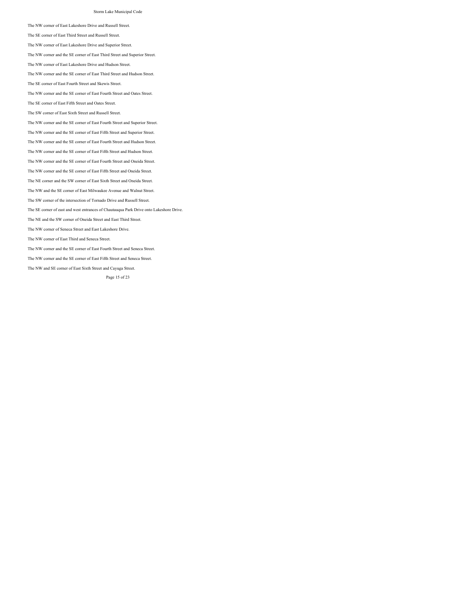The NW corner of East Lakeshore Drive and Russell Street.

The SE corner of East Third Street and Russell Street.

The NW corner of East Lakeshore Drive and Superior Street.

The NW corner and the SE corner of East Third Street and Superior Street.

The NW corner of East Lakeshore Drive and Hudson Street.

The NW corner and the SE corner of East Third Street and Hudson Street.

The SE corner of East Fourth Street and Skewis Street.

The NW corner and the SE corner of East Fourth Street and Oates Street.

The SE corner of East Fifth Street and Oates Street.

The SW corner of East Sixth Street and Russell Street.

The NW corner and the SE corner of East Fourth Street and Superior Street.

The NW corner and the SE corner of East Fifth Street and Superior Street.

The NW corner and the SE corner of East Fourth Street and Hudson Street.

The NW corner and the SE corner of East Fifth Street and Hudson Street.

The NW corner and the SE corner of East Fourth Street and Oneida Street.

The NW corner and the SE corner of East Fifth Street and Oneida Street.

The NE corner and the SW corner of East Sixth Street and Oneida Street.

The NW and the SE corner of East Milwaukee Avenue and Walnut Street.

The SW corner of the intersection of Tornado Drive and Russell Street.

The SE corner of east and west entrances of Chautauqua Park Drive onto Lakeshore Drive.

The NE and the SW corner of Oneida Street and East Third Street.

The NW corner of Seneca Street and East Lakeshore Drive.

The NW corner of East Third and Seneca Street.

The NW corner and the SE corner of East Fourth Street and Seneca Street.

The NW corner and the SE corner of East Fifth Street and Seneca Street.

The NW and SE corner of East Sixth Street and Cayuga Street.

Page 15 of 23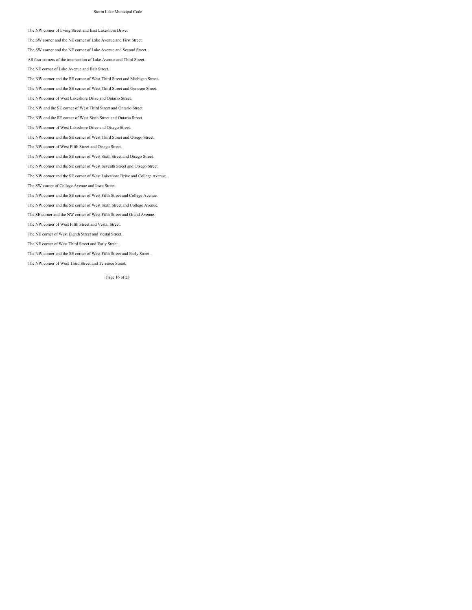The NW corner of Irving Street and East Lakeshore Drive.

The SW corner and the NE corner of Lake Avenue and First Street.

The SW corner and the NE corner of Lake Avenue and Second Street.

All four corners of the intersection of Lake Avenue and Third Street.

The NE corner of Lake Avenue and Bair Street.

The NW corner and the SE corner of West Third Street and Michigan Street.

The NW corner and the SE corner of West Third Street and Geneseo Street.

The NW corner of West Lakeshore Drive and Ontario Street.

The NW and the SE corner of West Third Street and Ontario Street.

The NW and the SE corner of West Sixth Street and Ontario Street.

The NW corner of West Lakeshore Drive and Otsego Street.

The NW corner and the SE corner of West Third Street and Otsego Street.

The NW corner of West Fifth Street and Otsego Street.

The NW corner and the SE corner of West Sixth Street and Otsego Street.

The NW corner and the SE corner of West Seventh Street and Otsego Street.

The NW corner and the SE corner of West Lakeshore Drive and College Avenue.

The SW corner of College Avenue and Iowa Street.

The NW corner and the SE corner of West Fifth Street and College Avenue.

The NW corner and the SE corner of West Sixth Street and College Avenue.

The SE corner and the NW corner of West Fifth Street and Grand Avenue.

The NW corner of West Fifth Street and Vestal Street.

The NE corner of West Eighth Street and Vestal Street.

The NE corner of West Third Street and Early Street.

The NW corner and the SE corner of West Fifth Street and Early Street.

The NW corner of West Third Street and Terrence Street.

Page 16 of 23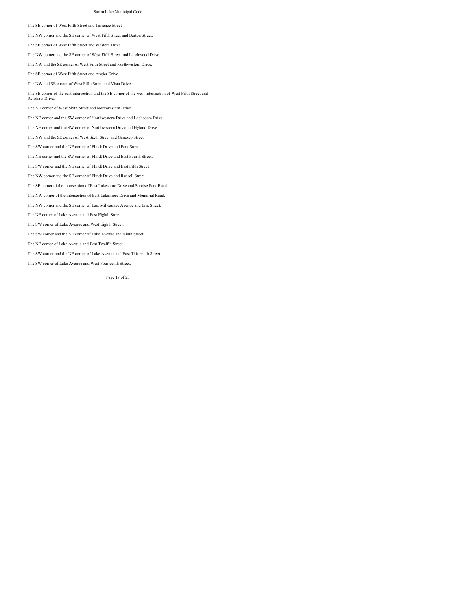The SE corner of West Fifth Street and Terrence Street.

The NW corner and the SE corner of West Fifth Street and Barton Street.

The SE corner of West Fifth Street and Western Drive.

The NW corner and the SE corner of West Fifth Street and Larchwood Drive.

The NW and the SE corner of West Fifth Street and Northwestern Drive.

The SE corner of West Fifth Street and Angier Drive.

The NW and SE corner of West Fifth Street and Vista Drive.

The SE corner of the east intersection and the SE corner of the west intersection of West Fifth Street and Renshaw Drive.

The NE corner of West Sixth Street and Northwestern Drive.

The NE corner and the SW corner of Northwestern Drive and Lochedem Drive.

The NE corner and the SW corner of Northwestern Drive and Hyland Drive.

The NW and the SE corner of West Sixth Street and Geneseo Street.

The SW corner and the NE corner of Flindt Drive and Park Street.

The NE corner and the SW corner of Flindt Drive and East Fourth Street.

The SW corner and the NE corner of Flindt Drive and East Fifth Street.

The NW corner and the SE corner of Flindt Drive and Russell Street.

The SE corner of the intersection of East Lakeshore Drive and Sunrise Park Road.

The NW corner of the intersection of East Lakeshore Drive and Memorial Road.

The NW corner and the SE corner of East Milwaukee Avenue and Erie Street.

The NE corner of Lake Avenue and East Eighth Street.

The SW corner of Lake Avenue and West Eighth Street.

The SW corner and the NE corner of Lake Avenue and Ninth Street.

The NE corner of Lake Avenue and East Twelfth Street.

The SW corner and the NE corner of Lake Avenue and East Thirteenth Street.

The SW corner of Lake Avenue and West Fourteenth Street.

Page 17 of 23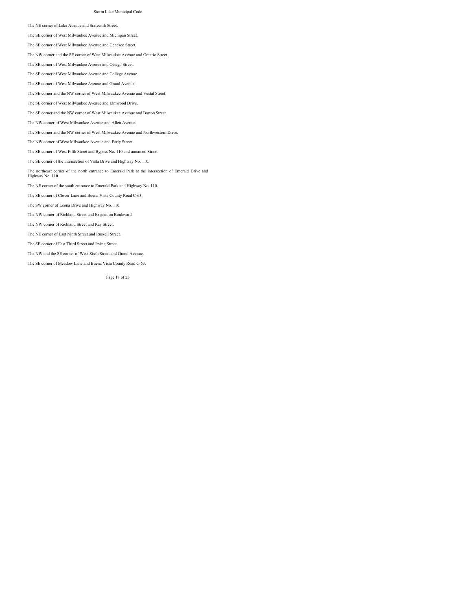The NE corner of Lake Avenue and Sixteenth Street.

The SE corner of West Milwaukee Avenue and Michigan Street.

The SE corner of West Milwaukee Avenue and Geneseo Street.

The NW corner and the SE corner of West Milwaukee Avenue and Ontario Street.

The SE corner of West Milwaukee Avenue and Otsego Street.

The SE corner of West Milwaukee Avenue and College Avenue.

The SE corner of West Milwaukee Avenue and Grand Avenue.

The SE corner and the NW corner of West Milwaukee Avenue and Vestal Street.

The SE corner of West Milwaukee Avenue and Elmwood Drive.

The SE corner and the NW corner of West Milwaukee Avenue and Barton Street.

The NW corner of West Milwaukee Avenue and Allen Avenue.

The SE corner and the NW corner of West Milwaukee Avenue and Northwestern Drive.

The NW corner of West Milwaukee Avenue and Early Street.

The SE corner of West Fifth Street and Bypass No. 110 and unnamed Street.

The SE corner of the intersection of Vista Drive and Highway No. 110.

The northeast corner of the north entrance to Emerald Park at the intersection of Emerald Drive and Highway No. 110.

The NE corner of the south entrance to Emerald Park and Highway No. 110.

The SE corner of Clover Lane and Buena Vista County Road C-63.

The SW corner of Leona Drive and Highway No. 110.

The NW corner of Richland Street and Expansion Boulevard.

The NW corner of Richland Street and Ray Street.

The NE corner of East Ninth Street and Russell Street.

The SE corner of East Third Street and Irving Street.

The NW and the SE corner of West Sixth Street and Grand Avenue.

The SE corner of Meadow Lane and Buena Vista County Road C-63.

Page 18 of 23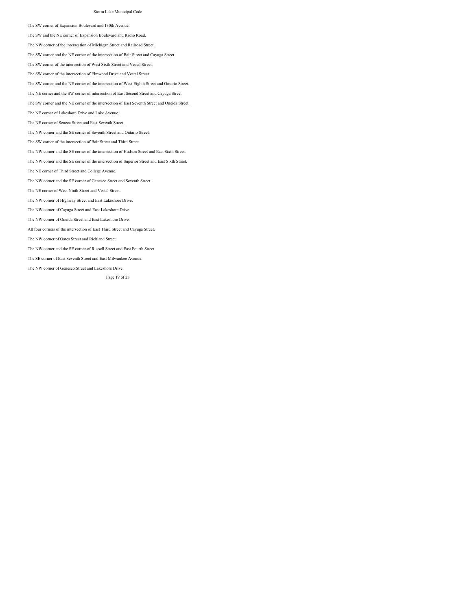The SW corner of Expansion Boulevard and 130th Avenue.

The SW and the NE corner of Expansion Boulevard and Radio Road.

The NW corner of the intersection of Michigan Street and Railroad Street.

The SW corner and the NE corner of the intersection of Bair Street and Cayuga Street.

The SW corner of the intersection of West Sixth Street and Vestal Street.

The SW corner of the intersection of Elmwood Drive and Vestal Street.

The SW corner and the NE corner of the intersection of West Eighth Street and Ontario Street.

The NE corner and the SW corner of intersection of East Second Street and Cayuga Street.

The SW corner and the NE corner of the intersection of East Seventh Street and Oneida Street.

The NE corner of Lakeshore Drive and Lake Avenue.

The NE corner of Seneca Street and East Seventh Street.

The NW corner and the SE corner of Seventh Street and Ontario Street.

The SW corner of the intersection of Bair Street and Third Street.

The NW corner and the SE corner of the intersection of Hudson Street and East Sixth Street.

The NW corner and the SE corner of the intersection of Superior Street and East Sixth Street.

The NE corner of Third Street and College Avenue.

The NW corner and the SE corner of Geneseo Street and Seventh Street.

The NE corner of West Ninth Street and Vestal Street.

The NW corner of Highway Street and East Lakeshore Drive.

The NW corner of Cayuga Street and East Lakeshore Drive.

The NW corner of Oneida Street and East Lakeshore Drive.

All four corners of the intersection of East Third Street and Cayuga Street.

The NW corner of Oates Street and Richland Street.

The NW corner and the SE corner of Russell Street and East Fourth Street.

The SE corner of East Seventh Street and East Milwaukee Avenue.

The NW corner of Geneseo Street and Lakeshore Drive.

Page 19 of 23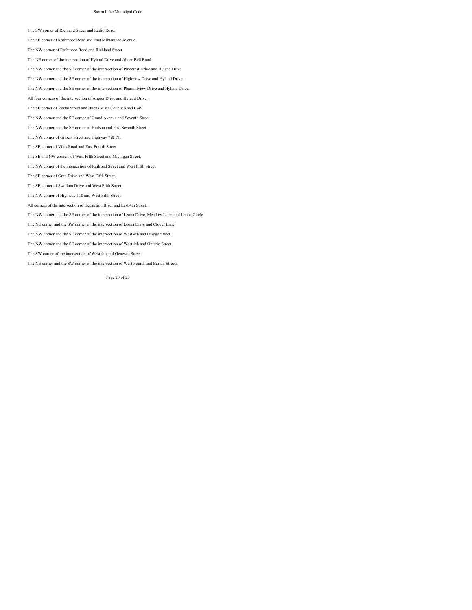The SW corner of Richland Street and Radio Road.

The SE corner of Rothmoor Road and East Milwaukee Avenue.

The NW corner of Rothmoor Road and Richland Street.

The NE corner of the intersection of Hyland Drive and Abner Bell Road.

The NW corner and the SE corner of the intersection of Pinecrest Drive and Hyland Drive.

The NW corner and the SE corner of the intersection of Highview Drive and Hyland Drive.

The NW corner and the SE corner of the intersection of Pleasantview Drive and Hyland Drive.

All four corners of the intersection of Angier Drive and Hyland Drive.

The SE corner of Vestal Street and Buena Vista County Road C-49.

The NW corner and the SE corner of Grand Avenue and Seventh Street.

The NW corner and the SE corner of Hudson and East Seventh Street.

The NW corner of Gilbert Street and Highway 7 & 71.

The SE corner of Vilas Road and East Fourth Street.

The SE and NW corners of West Fifth Street and Michigan Street.

The NW corner of the intersection of Railroad Street and West Fifth Street.

The SE corner of Gran Drive and West Fifth Street.

The SE corner of Swallum Drive and West Fifth Street.

The NW corner of Highway 110 and West Fifth Street.

All corners of the intersection of Expansion Blvd. and East 4th Street.

The NW corner and the SE corner of the intersection of Leona Drive, Meadow Lane, and Leona Circle.

The NE corner and the SW corner of the intersection of Leona Drive and Clover Lane.

The NW corner and the SE corner of the intersection of West 4th and Otsego Street.

The NW corner and the SE corner of the intersection of West 4th and Ontario Street.

The SW corner of the intersection of West 4th and Geneseo Street.

The NE corner and the SW corner of the intersection of West Fourth and Barton Streets.

Page 20 of 23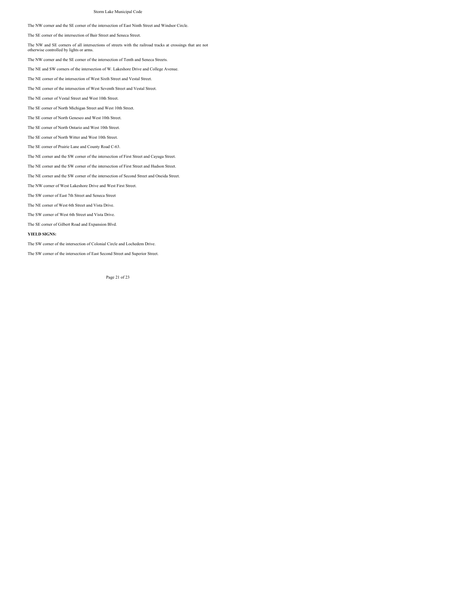The NW corner and the SE corner of the intersection of East Ninth Street and Windsor Circle.

The SE corner of the intersection of Bair Street and Seneca Street.

The NW and SE corners of all intersections of streets with the railroad tracks at crossings that are not

otherwise controlled by lights or arms.

The NW corner and the SE corner of the intersection of Tenth and Seneca Streets.

The NE and SW corners of the intersection of W. Lakeshore Drive and College Avenue.

The NE corner of the intersection of West Sixth Street and Vestal Street.

The NE corner of the intersection of West Seventh Street and Vestal Street.

The NE corner of Vestal Street and West 10th Street.

The SE corner of North Michigan Street and West 10th Street.

The SE corner of North Geneseo and West 10th Street.

The SE corner of North Ontario and West 10th Street.

The SE corner of North Witter and West 10th Street.

The SE corner of Prairie Lane and County Road C-63.

The NE corner and the SW corner of the intersection of First Street and Cayuga Street.

The NE corner and the SW corner of the intersection of First Street and Hudson Street.

The NE corner and the SW corner of the intersection of Second Street and Oneida Street.

The NW corner of West Lakeshore Drive and West First Street.

The SW corner of East 7th Street and Seneca Street

The NE corner of West 6th Street and Vista Drive.

The SW corner of West 6th Street and Vista Drive.

The SE corner of Gilbert Road and Expansion Blvd.

### **YIELD SIGNS:**

The SW corner of the intersection of Colonial Circle and Lochedem Drive.

The SW corner of the intersection of East Second Street and Superior Street.

Page 21 of 23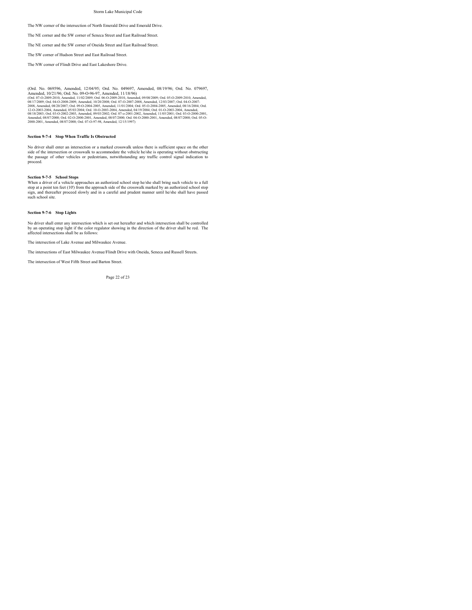The NW corner of the intersection of North Emerald Drive and Emerald Drive.

The NE corner and the SW corner of Seneca Street and East Railroad Street.

The NE corner and the SW corner of Oneida Street and East Railroad Street.

The SW corner of Hudson Street and East Railroad Street.

The NW corner of Flindt Drive and East Lakeshore Drive.

(Ord. No. 069596, Amended, 12004/95; Ord. No. 049697, Amended, 08/19/96; Ord. No. 079697, Amended, 10021/96; Ord. No. 079697, Amended, 11/02/2009; Ord. No. 079697, Amended, 11/02/2009; Ord. 06-02009-2010, Amended, 11/02/20

### **Section 9-7-4 Stop When Traffic Is Obstructed**

No driver shall enter an intersection or a marked crosswalk unless there is sufficient space on the other side of the intersection or crosswalk to accommodate the vehicle he/she is operating without obstructing the passage of other vehicles or pedestrians, notwithstanding any traffic control signal indication to proceed.

### **Section 9-7-5 School Stops**

When a driver of a vehicle approaches an authorized school stop he/she shall bring such vehicle to a full<br>stop at a point ten feet (10') from the approach side of the crosswalk marked by an authorized school stop<br>sign, and

### **Section 9-7-6 Stop Lights**

No driver shall enter any intersection which is set out hereafter and which intersection shall be controlled by an operating stop light if the color regulator showing in the direction of the driver shall be red. The affected intersections shall be as follows:

The intersection of Lake Avenue and Milwaukee Avenue.

The intersections of East Milwaukee Avenue/Flindt Drive with Oneida, Seneca and Russell Streets.

The intersection of West Fifth Street and Barton Street.

Page 22 of 23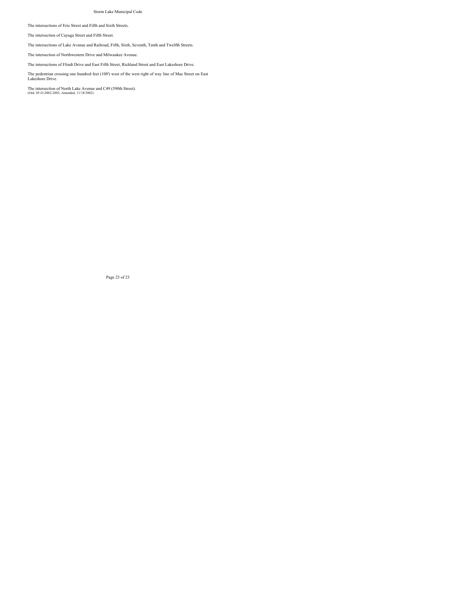The intersections of Erie Street and Fifth and Sixth Streets.

The intersection of Cayuga Street and Fifth Street.

The intersections of Lake Avenue and Railroad, Fifth, Sixth, Seventh, Tenth and Twelfth Streets.

The intersection of Northwestern Drive and Milwaukee Avenue.

The intersections of Flindt Drive and East Fifth Street, Richland Street and East Lakeshore Drive.

The pedestrian crossing one hundred feet (100') west of the west right of way line of Mae Street on East Lakeshore Drive.

The intersection of North Lake Avenue and C49 (590th Street). (Ord. 05-O-2002-2003, Amended, 11/18/2002)

Page 23 of 23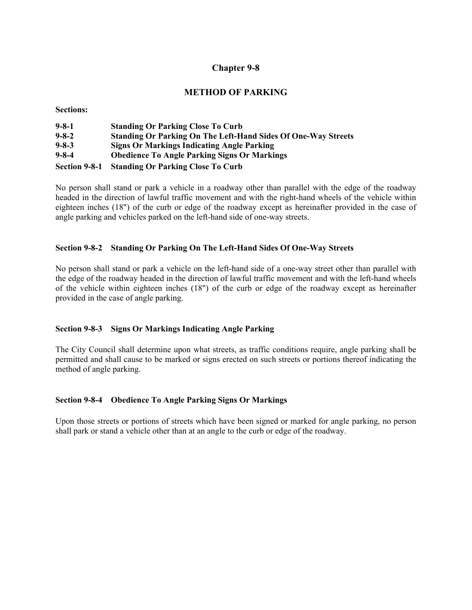# **METHOD OF PARKING**

**Sections:** 

| $9 - 8 - 1$   | <b>Standing Or Parking Close To Curb</b>                             |
|---------------|----------------------------------------------------------------------|
| $9 - 8 - 2$   | <b>Standing Or Parking On The Left-Hand Sides Of One-Way Streets</b> |
| $9 - 8 - 3$   | <b>Signs Or Markings Indicating Angle Parking</b>                    |
| $9 - 8 - 4$   | <b>Obedience To Angle Parking Signs Or Markings</b>                  |
| Section 9-8-1 | <b>Standing Or Parking Close To Curb</b>                             |

No person shall stand or park a vehicle in a roadway other than parallel with the edge of the roadway headed in the direction of lawful traffic movement and with the right-hand wheels of the vehicle within eighteen inches (18") of the curb or edge of the roadway except as hereinafter provided in the case of angle parking and vehicles parked on the left-hand side of one-way streets.

## **Section 9-8-2 Standing Or Parking On The Left-Hand Sides Of One-Way Streets**

No person shall stand or park a vehicle on the left-hand side of a one-way street other than parallel with the edge of the roadway headed in the direction of lawful traffic movement and with the left-hand wheels of the vehicle within eighteen inches (18") of the curb or edge of the roadway except as hereinafter provided in the case of angle parking.

## **Section 9-8-3 Signs Or Markings Indicating Angle Parking**

The City Council shall determine upon what streets, as traffic conditions require, angle parking shall be permitted and shall cause to be marked or signs erected on such streets or portions thereof indicating the method of angle parking.

## **Section 9-8-4 Obedience To Angle Parking Signs Or Markings**

Upon those streets or portions of streets which have been signed or marked for angle parking, no person shall park or stand a vehicle other than at an angle to the curb or edge of the roadway.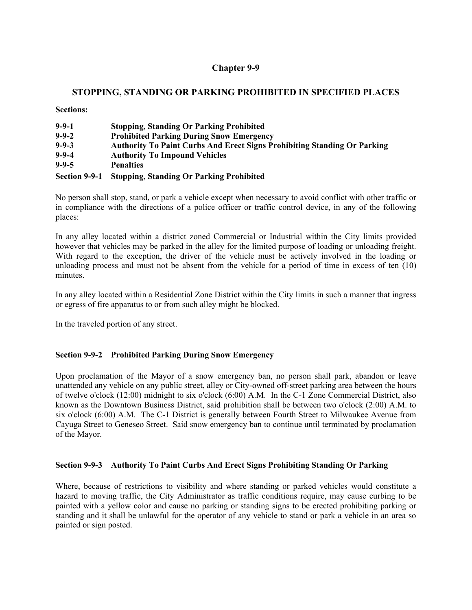# **STOPPING, STANDING OR PARKING PROHIBITED IN SPECIFIED PLACES**

**Sections:** 

| $9 - 9 - 1$   | <b>Stopping, Standing Or Parking Prohibited</b>                                 |
|---------------|---------------------------------------------------------------------------------|
| $9 - 9 - 2$   | <b>Prohibited Parking During Snow Emergency</b>                                 |
| $9 - 9 - 3$   | <b>Authority To Paint Curbs And Erect Signs Prohibiting Standing Or Parking</b> |
| $9 - 9 - 4$   | <b>Authority To Impound Vehicles</b>                                            |
| $9 - 9 - 5$   | <b>Penalties</b>                                                                |
| Section 9-9-1 | <b>Stopping, Standing Or Parking Prohibited</b>                                 |

No person shall stop, stand, or park a vehicle except when necessary to avoid conflict with other traffic or in compliance with the directions of a police officer or traffic control device, in any of the following places:

In any alley located within a district zoned Commercial or Industrial within the City limits provided however that vehicles may be parked in the alley for the limited purpose of loading or unloading freight. With regard to the exception, the driver of the vehicle must be actively involved in the loading or unloading process and must not be absent from the vehicle for a period of time in excess of ten (10) minutes.

In any alley located within a Residential Zone District within the City limits in such a manner that ingress or egress of fire apparatus to or from such alley might be blocked.

In the traveled portion of any street.

## **Section 9-9-2 Prohibited Parking During Snow Emergency**

Upon proclamation of the Mayor of a snow emergency ban, no person shall park, abandon or leave unattended any vehicle on any public street, alley or City-owned off-street parking area between the hours of twelve o'clock (12:00) midnight to six o'clock (6:00) A.M. In the C-1 Zone Commercial District, also known as the Downtown Business District, said prohibition shall be between two o'clock (2:00) A.M. to six o'clock (6:00) A.M. The C-1 District is generally between Fourth Street to Milwaukee Avenue from Cayuga Street to Geneseo Street. Said snow emergency ban to continue until terminated by proclamation of the Mayor.

## **Section 9-9-3 Authority To Paint Curbs And Erect Signs Prohibiting Standing Or Parking**

Where, because of restrictions to visibility and where standing or parked vehicles would constitute a hazard to moving traffic, the City Administrator as traffic conditions require, may cause curbing to be painted with a yellow color and cause no parking or standing signs to be erected prohibiting parking or standing and it shall be unlawful for the operator of any vehicle to stand or park a vehicle in an area so painted or sign posted.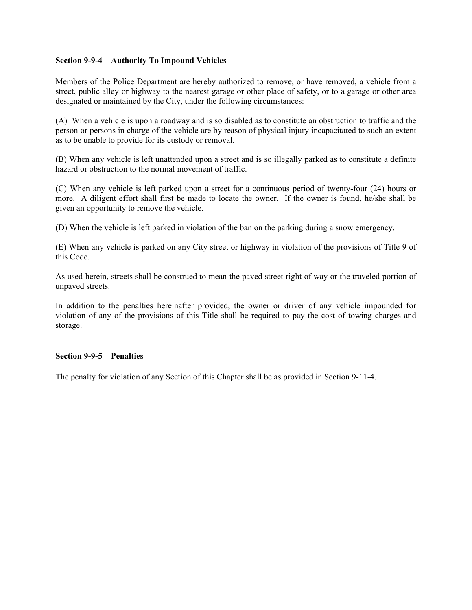## **Section 9-9-4 Authority To Impound Vehicles**

Members of the Police Department are hereby authorized to remove, or have removed, a vehicle from a street, public alley or highway to the nearest garage or other place of safety, or to a garage or other area designated or maintained by the City, under the following circumstances:

(A) When a vehicle is upon a roadway and is so disabled as to constitute an obstruction to traffic and the person or persons in charge of the vehicle are by reason of physical injury incapacitated to such an extent as to be unable to provide for its custody or removal.

(B) When any vehicle is left unattended upon a street and is so illegally parked as to constitute a definite hazard or obstruction to the normal movement of traffic.

(C) When any vehicle is left parked upon a street for a continuous period of twenty-four (24) hours or more. A diligent effort shall first be made to locate the owner. If the owner is found, he/she shall be given an opportunity to remove the vehicle.

(D) When the vehicle is left parked in violation of the ban on the parking during a snow emergency.

(E) When any vehicle is parked on any City street or highway in violation of the provisions of Title 9 of this Code.

As used herein, streets shall be construed to mean the paved street right of way or the traveled portion of unpaved streets.

In addition to the penalties hereinafter provided, the owner or driver of any vehicle impounded for violation of any of the provisions of this Title shall be required to pay the cost of towing charges and storage.

## **Section 9-9-5 Penalties**

The penalty for violation of any Section of this Chapter shall be as provided in Section 9-11-4.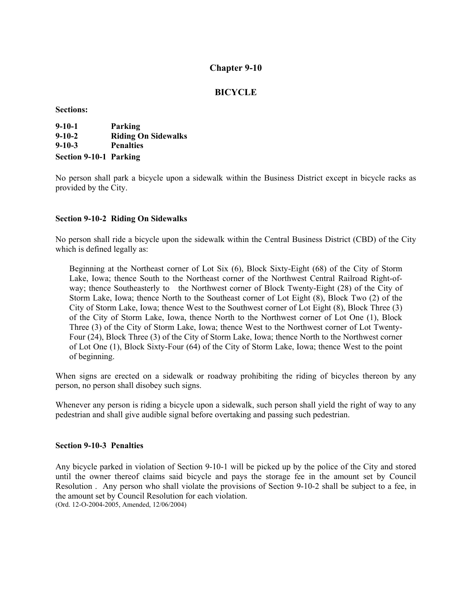# **BICYCLE**

**Sections:** 

| $9 - 10 - 1$                  | Parking                    |
|-------------------------------|----------------------------|
| $9 - 10 - 2$                  | <b>Riding On Sidewalks</b> |
| $9 - 10 - 3$                  | <b>Penalties</b>           |
| <b>Section 9-10-1 Parking</b> |                            |

No person shall park a bicycle upon a sidewalk within the Business District except in bicycle racks as provided by the City.

## **Section 9-10-2 Riding On Sidewalks**

No person shall ride a bicycle upon the sidewalk within the Central Business District (CBD) of the City which is defined legally as:

Beginning at the Northeast corner of Lot Six (6), Block Sixty-Eight (68) of the City of Storm Lake, Iowa; thence South to the Northeast corner of the Northwest Central Railroad Right-ofway; thence Southeasterly to the Northwest corner of Block Twenty-Eight (28) of the City of Storm Lake, Iowa; thence North to the Southeast corner of Lot Eight (8), Block Two (2) of the City of Storm Lake, Iowa; thence West to the Southwest corner of Lot Eight (8), Block Three (3) of the City of Storm Lake, Iowa, thence North to the Northwest corner of Lot One (1), Block Three (3) of the City of Storm Lake, Iowa; thence West to the Northwest corner of Lot Twenty-Four (24), Block Three (3) of the City of Storm Lake, Iowa; thence North to the Northwest corner of Lot One (1), Block Sixty-Four (64) of the City of Storm Lake, Iowa; thence West to the point of beginning.

When signs are erected on a sidewalk or roadway prohibiting the riding of bicycles thereon by any person, no person shall disobey such signs.

Whenever any person is riding a bicycle upon a sidewalk, such person shall yield the right of way to any pedestrian and shall give audible signal before overtaking and passing such pedestrian.

### **Section 9-10-3 Penalties**

Any bicycle parked in violation of Section 9-10-1 will be picked up by the police of the City and stored until the owner thereof claims said bicycle and pays the storage fee in the amount set by Council Resolution . Any person who shall violate the provisions of Section 9-10-2 shall be subject to a fee, in the amount set by Council Resolution for each violation.

(Ord. 12-O-2004-2005, Amended, 12/06/2004)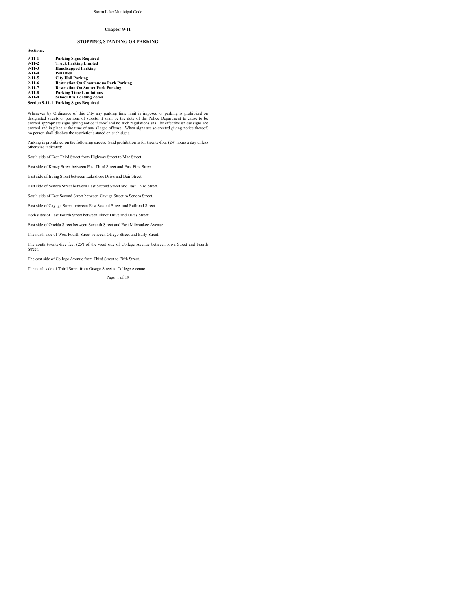### **STOPPING, STANDING OR PARKING**

| $9-11-1$     | <b>Parking Signs Required</b>                 |
|--------------|-----------------------------------------------|
| $9 - 11 - 2$ | <b>Truck Parking Limited</b>                  |
| $9 - 11 - 3$ | <b>Handicapped Parking</b>                    |
| $9-11-4$     | <b>Penalties</b>                              |
| $9-11-5$     | <b>City Hall Parking</b>                      |
| $9-11-6$     | <b>Restriction On Chautauqua Park Parking</b> |
| $9 - 11 - 7$ | <b>Restriction On Sunset Park Parking</b>     |
| $9-11-8$     | <b>Parking Time Limitations</b>               |
| $9 - 11 - 9$ | <b>School Rus Loading Zones</b>               |

**9-11-9 School Bus Loading Zones Section 9-11-1 Parking Signs Required**

**Sections:**

Whenever by Ordinance of this City any prarking time limit is imposed or parking is prohibited on<br>designated streets or portions of streets, it shall be the duty of the Police Department to cause to be<br>erected appropriate

Parking is prohibited on the following streets. Said prohibition is for twenty-four (24) hours a day unless otherwise indicated:

South side of East Third Street from Highway Street to Mae Street.

East side of Kenzy Street between East Third Street and East First Street.

East side of Irving Street between Lakeshore Drive and Bair Street.

East side of Seneca Street between East Second Street and East Third Street.

South side of East Second Street between Cayuga Street to Seneca Street.

East side of Cayuga Street between East Second Street and Railroad Street.

Both sides of East Fourth Street between Flindt Drive and Oates Street.

East side of Oneida Street between Seventh Street and East Milwaukee Avenue.

The north side of West Fourth Street between Otsego Street and Early Street.

The south twenty-five feet (25') of the west side of College Avenue between Iowa Street and Fourth Street.

The east side of College Avenue from Third Street to Fifth Street.

The north side of Third Street from Otsego Street to College Avenue.

Page 1 of 19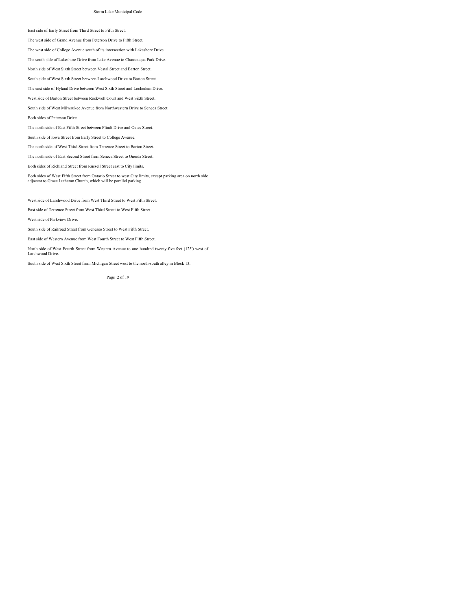### East side of Early Street from Third Street to Fifth Street.

The west side of Grand Avenue from Peterson Drive to Fifth Street.

The west side of College Avenue south of its intersection with Lakeshore Drive.

The south side of Lakeshore Drive from Lake Avenue to Chautauqua Park Drive.

North side of West Sixth Street between Vestal Street and Barton Street.

South side of West Sixth Street between Larchwood Drive to Barton Street.

The east side of Hyland Drive between West Sixth Street and Lochedem Drive.

West side of Barton Street between Rockwell Court and West Sixth Street.

South side of West Milwaukee Avenue from Northwestern Drive to Seneca Street.

Both sides of Peterson Drive.

The north side of East Fifth Street between Flindt Drive and Oates Street.

South side of Iowa Street from Early Street to College Avenue.

The north side of West Third Street from Terrence Street to Barton Street.

The north side of East Second Street from Seneca Street to Oneida Street.

Both sides of Richland Street from Russell Street east to City limits.

Both sides of West Fifth Street from Ontario Street to west City limits, except parking area on north side adjacent to Grace Lutheran Church, which will be parallel parking.

West side of Larchwood Drive from West Third Street to West Fifth Street.

East side of Terrence Street from West Third Street to West Fifth Street.

West side of Parkview Drive.

South side of Railroad Street from Geneseo Street to West Fifth Street.

East side of Western Avenue from West Fourth Street to West Fifth Street.

North side of West Fourth Street from Western Avenue to one hundred twenty-five feet (125') west of Larchwood Drive.

South side of West Sixth Street from Michigan Street west to the north-south alley in Block 13.

Page 2 of 19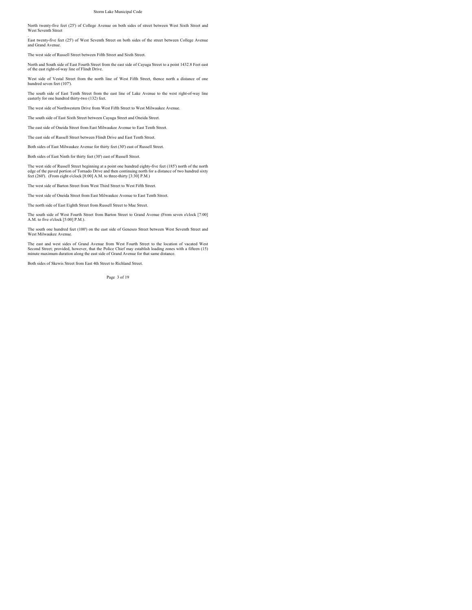North twenty-five feet (25') of College Avenue on both sides of street between West Sixth Street and West Seventh Street

. East twenty-five feet (25') of West Seventh Street on both sides of the street between College Avenue and Grand Avenue.

The west side of Russell Street between Fifth Street and Sixth Street.

North and South side of East Fourth Street from the east side of Cayuga Street to a point 1432.8 Feet east of the east right-of-way line of Flindt Drive.

West side of Vestal Street from the north line of West Fifth Street, thence north a distance of one hundred seven feet (107').

The south side of East Tenth Street from the east line of Lake Avenue to the west right-of-way line easterly for one hundred thirty-two (132) feet.

The west side of Northwestern Drive from West Fifth Street to West Milwaukee Avenue.

The south side of East Sixth Street between Cayuga Street and Oneida Street.

The east side of Oneida Street from East Milwaukee Avenue to East Tenth Street.

The east side of Russell Street between Flindt Drive and East Tenth Street.

Both sides of East Milwaukee Avenue for thirty feet (30') east of Russell Street.

Both sides of East Ninth for thirty feet (30') east of Russell Street.

The west side of Russell Street beginning at a point one hundred eighty-five feet (185') north of the north edge of the paved portion of Tornado Drive and then continuing north for a distance of two hundred sixty feet (260'). (From eight o'clock [8:00] A.M. to three-thirty [3:30] P.M.)

The west side of Barton Street from West Third Street to West Fifth Street.

The west side of Oneida Street from East Milwaukee Avenue to East Tenth Street.

The north side of East Eighth Street from Russell Street to Mae Street.

The south side of West Fourth Street from Barton Street to Grand Avenue (From seven o'clock [7:00] A.M. to five o'clock [5:00] P.M.).

The south one hundred feet (100') on the east side of Geneseo Street between West Seventh Street and West Milwaukee Avenue.

The east and west sides of Grand Avenue from West Fourth Street to the location of vacated West<br>Second Street; provided, however, that the Police Chief may establish loading zones with a fifteen (15)<br>minute maximum duratio

Both sides of Skewis Street from East 4th Street to Richland Street.

Page 3 of 19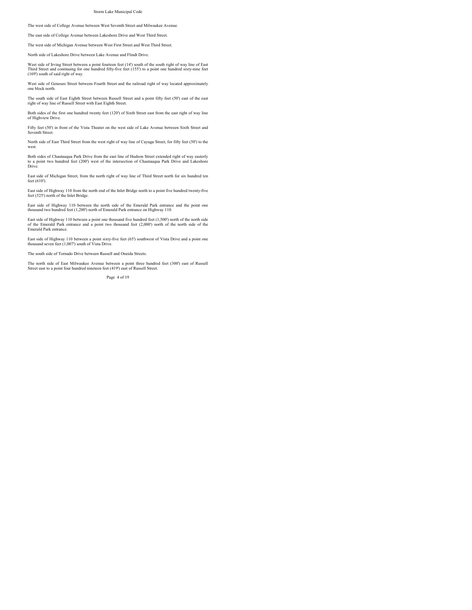The west side of College Avenue between West Seventh Street and Milwaukee Avenue.

The east side of College Avenue between Lakeshore Drive and West Third Street.

The west side of Michigan Avenue between West First Street and West Third Street.

North side of Lakeshore Drive between Lake Avenue and Flindt Drive.

West side of Irving Street between a point fourteen feet (14') south of the south right of way line of East Third Street and continuing for one hundred fifty-five feet (155') to a point one hundred sixty-nine feet (169') south of said right of way.

West side of Geneseo Street between Fourth Street and the railroad right of way located approximately one block north.

The south side of East Eighth Street between Russell Street and a point fifty feet (50') east of the east right of way line of Russell Street with East Eighth Street.

Both sides of the first one hundred twenty feet (120') of Sixth Street east from the east right of way line of Highview Drive.

Fifty feet (50') in front of the Vista Theater on the west side of Lake Avenue between Sixth Street and Seventh Street.

North side of East Third Street from the west right of way line of Cayuga Street, for fifty feet (50') to the west.

Both sides of Chautauqua Park Drive from the east line of Hudson Street extended right of way easterly to a point two hundred feet (200') west of the intersection of Chautauqua Park Drive and Lakeshore Drive.

East side of Michigan Street, from the north right of way line of Third Street north for six hundred ten feet (610').

East side of Highway 110 from the north end of the Inlet Bridge north to a point five hundred twenty-five feet (525') north of the Inlet Bridge.

East side of Highway 110 between the north side of the Emerald Park entrance and the point one thousand two hundred feet (1,200') north of Emerald Park entrance on Highway 110.

East side of Highway 110 between a point one thousand five hundred feet (1,500') north of the north side of the Emerald Park entrance and a point two thousand feet (2,000') north of the north side of the Emerald Park entrance.

East side of Highway 110 between a point sixty-five feet (65') southwest of Vista Drive and a point one thousand seven feet (1,007') south of Vista Drive.

The south side of Tornado Drive between Russell and Oneida Streets.

The north side of East Milwaukee Avenue between a point three hundred feet (300') east of Russell Street east to a point four hundred nineteen feet (419') east of Russell Street.

Page 4 of 19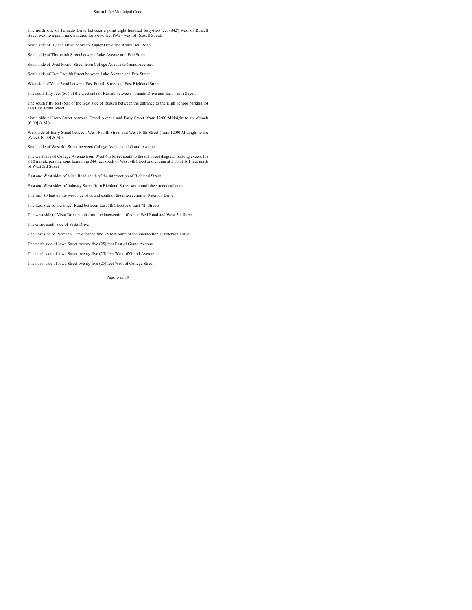The north side of Tornado Drive between a point eight hundred forty-two feet (842') west of Russell Street west to a point nine hundred forty-two feet (942') west of Russell Street.

North side of Hyland Drive between Angier Drive and Abner Bell Road.

South side of Thirteenth Street between Lake Avenue and Erie Street.

South side of West Fourth Street from College Avenue to Grand Avenue.

South side of East Twelfth Street between Lake Avenue and Erie Street.

West side of Vilas Road between East Fourth Street and East Richland Street.

The south fifty feet (50') of the west side of Russell between Tornado Drive and East Tenth Street.

The south fifty feet (50') of the west side of Russell between the entrance to the High School parking lot and East Tenth Street.

North side of Iowa Street between Grand Avenue and Early Street (from 12:00 Midnight to six o'clock [6:00] A.M.)

West side of Early Street between West Fourth Street and West Fifth Street (from 12:00 Midnight to six o'clock [6:00] A.M.)

South side of West 4th Street between College Avenue and Grand Avenue.

The west side of College Avenue from West 4th Street south to the off-street diagonal parking except for<br>a 10 minute parking zone beginning 344 feet south of West 4th Street and ending at a point 161 feet north<br>of West 3rd

East and West sides of Vilas Road south of the intersection of Richland Street.

East and West sides of Industry Street from Richland Street south until the street dead ends

The first 30 feet on the west side of Grand south of the intersection of Peterson Drive

The East side of Geisinger Road between East 5th Street and East 7th Streets

The west side of Vista Drive south from the intersection of Abner Bell Road and West 5th Street

The entire south side of Vista Drive

The East side of Parkview Drive for the first 25 feet south of the intersection at Peterson Drive

The north side of Iowa Street twenty-five (25) feet East of Grand Avenue.

The north side of Iowa Street twenty-five (25) feet West of Grand Avenue

The north side of Iowa Street twenty-five (25) feet West of College Street

Page 5 of 19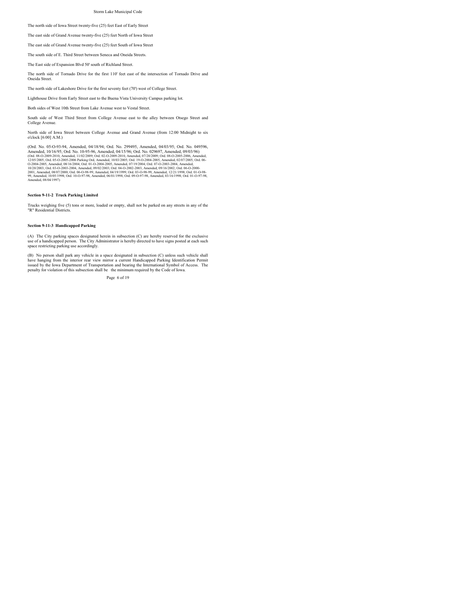The north side of Iowa Street twenty-five (25) feet East of Early Street

The east side of Grand Avenue twenty-five (25) feet North of Iowa Street

The east side of Grand Avenue twenty-five (25) feet South of Iowa Street

The south side of E. Third Street between Seneca and Oneida Streets.

The East side of Expansion Blvd 50' south of Richland Street.

The north side of Tornado Drive for the first 110' feet east of the intersection of Tornado Drive and Oneida Street.

The north side of Lakeshore Drive for the first seventy feet (70') west of College Street.

Lighthouse Drive from Early Street east to the Buena Vista University Campus parking lot.

Both sides of West 10th Street from Lake Avenue west to Vestal Street.

South side of West Third Street from College Avenue east to the alley between Otsego Street and College Avenue.

North side of Iowa Street between College Avenue and Grand Avenue (from 12:00 Midnight to six o'clock [6:00] A.M.)

(Ord. No. 05-O-93-94, Amended, 04/18/94; Ord. No. 299495, Amended, 04/03/95; Ord. No. 049596, Amended, 10016/955; Ord. No. 10-95-96, Amended, 0415/96; Ord. No. 029697, Amended, 09003/96<br>(Ord. 08-O-2009-2010, Amended, 1102/2009; Ord. 02-O-2009-2010, Amended, 07/20/2009; Ord. 08-O-2005-2006, Amended,<br>1205/2008; Ord.

### **Section 9-11-2 Truck Parking Limited**

Trucks weighing five (5) tons or more, loaded or empty, shall not be parked on any streets in any of the "R" Residential Districts.

### **Section 9-11-3 Handicapped Parking**

(A) The City parking spaces designated herein in subsection (C) are hereby reserved for the exclusive use of a handicapped person. The City Administrator is hereby directed to have signs posted at each such space restricting parking use accordingly.

(B) No person shall park any vehicle in a space designated in subsection (C) unless such vehicle shall have hanging from the interior rear view mirror a current Handicapped Parking Identification Permit issued by the Iowa Department of Transportation and bearing the International Symbol of Access. The penalty for violation of this subsection shall be the minimum required by the Code of Iowa.

Page 6 of 19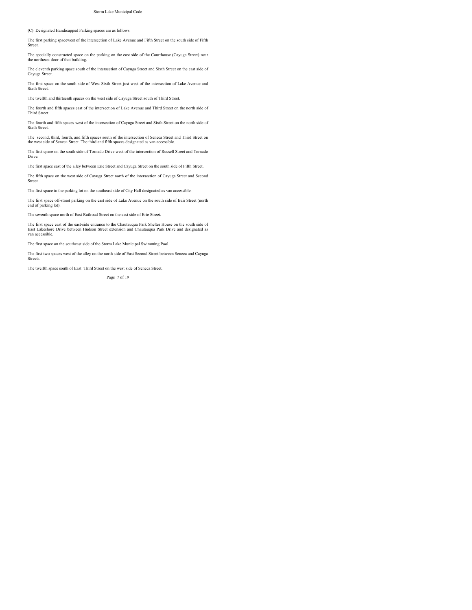### (C) Designated Handicapped Parking spaces are as follows:

The first parking spacewest of the intersection of Lake Avenue and Fifth Street on the south side of Fifth Street.

The specially constructed space on the parking on the east side of the Courthouse (Cayuga Street) near the northeast door of that building.

The eleventh parking space south of the intersection of Cayuga Street and Sixth Street on the east side of Cayuga Street.

The first space on the south side of West Sixth Street just west of the intersection of Lake Avenue and Sixth Street

The twelfth and thirteenth spaces on the west side of Cayuga Street south of Third Street.

The fourth and fifth spaces east of the intersection of Lake Avenue and Third Street on the north side of Third Street.

The fourth and fifth spaces west of the intersection of Cayuga Street and Sixth Street on the north side of Sixth Street.

The second, third, fourth, and fifth spaces south of the intersection of Seneca Street and Third Street on the west side of Seneca Street. The third and fifth spaces designated as van accessible.

The first space on the south side of Tornado Drive west of the intersection of Russell Street and Tornado Drive.

The first space east of the alley between Erie Street and Cayuga Street on the south side of Fifth Street.

The fifth space on the west side of Cayuga Street north of the intersection of Cayuga Street and Second Street.

The first space in the parking lot on the southeast side of City Hall designated as van accessible.

The first space off-street parking on the east side of Lake Avenue on the south side of Bair Street (north end of parking lot).

The seventh space north of East Railroad Street on the east side of Erie Street.

The first space east of the east-side entrance to the Chautauqua Park Shelter House on the south side of East Lakeshore Drive between Hudson Street extension and Chautauqua Park Drive and designated as van accessible.

The first space on the southeast side of the Storm Lake Municipal Swimming Pool.

The first two spaces west of the alley on the north side of East Second Street between Seneca and Cayuga Streets.

The twelfth space south of East Third Street on the west side of Seneca Street.

Page 7 of 19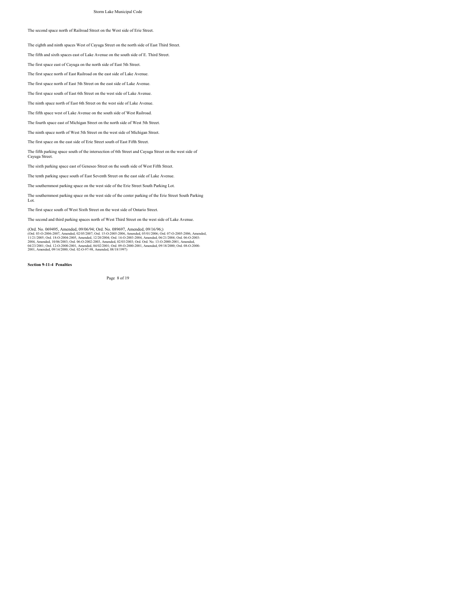### The second space north of Railroad Street on the West side of Erie Street.

The eighth and ninth spaces West of Cayuga Street on the north side of East Third Street.

The fifth and sixth spaces east of Lake Avenue on the south side of E. Third Street.

The first space east of Cayuga on the north side of East 5th Street.

The first space north of East Railroad on the east side of Lake Avenue.

The first space north of East 5th Street on the east side of Lake Avenue.

The first space south of East 6th Street on the west side of Lake Avenue.

The ninth space north of East 6th Street on the west side of Lake Avenue.

The fifth space west of Lake Avenue on the south side of West Railroad.

The fourth space east of Michigan Street on the north side of West 5th Street.

The ninth space north of West 5th Street on the west side of Michigan Street.

The first space on the east side of Erie Street south of East Fifth Street.

The fifth parking space south of the intersection of 6th Street and Cayuga Street on the west side of Cayuga Street.

The sixth parking space east of Geneseo Street on the south side of West Fifth Street.

The tenth parking space south of East Seventh Street on the east side of Lake Avenue.

The southernmost parking space on the west side of the Erie Street South Parking Lot.

The southernmost parking space on the west side of the center parking of the Erie Street South Parking Lot.

The first space south of West Sixth Street on the west side of Ontario Street.

The second and third parking spaces north of West Third Street on the west side of Lake Avenue.

(Ord. No. 069495, Amended, 09/06/94; Ord. I No. 089697, Amended, 09/016/96;)<br>(Ord. 03-0-2006-2007, Amended, 02/05/2007; Ord. 15-0-2005-2006, Amended, 05/01/2006; Ord. 07-0-2005-2006, Amended,<br>11/21/2006; Ord. 18-0-2004-200

**Section 9-11-4 Penalties**

Page 8 of 19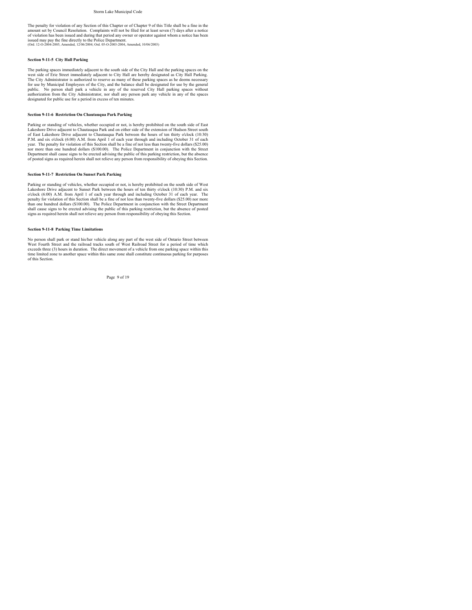The penalty for violation of any Section of this Chapter or of Chapter 9 of this Title shall be a fine in the amount set by Council Resolution. Complaints will not be filed for at least seven (7) days after a notice of violation has been issued and during that period any owner or operator against whom a notice has been<br>issued may pay the fine directly to the Police Department.<br>(Ord. 12-0-2004-2005, Amended, 12/06/2004; Ord. 05-0-2003-

#### **Section 9-11-5 City Hall Parking**

The parking spaces immediately adjacent to the south side of the City Hall and the parking spaces on the<br>west side of Erie Street immediately adjacent to City Hall are hereby designated as City Hall Parking.<br>The City Admin for use by Municipal Employees of the City, and the balance shall be designated for use by the general public.<br>
The public and the public in any of the reserved City Hall parking spaces without<br>
authorization from the City

#### **Section 9-11-6 Restriction On Chautauqua Park Parking**

Parking or standing of vehicles, whether occupied or not, is hereby prohibited on the south side of East<br>Lakeshore Drive adjacent to Chautauqua Park and on either side of the extension of Hudson Street south<br>of East Lakesh P.M. and six o'clock (6:00) A.M. from April 1 of each year through and including October 31 of each year. The penalty for violation of this Section shall be a fine of not less than twenty-five dollars (\$25.00) nor more than one hundred dollars (\$100.00). The Police Department in conjunction with the Street<br>Department shall cause signs to be erected advising the public of this parking restriction, but the absence<br>of posted signs

#### **Section 9-11-7 Restriction On Sunset Park Parking**

Parking or standing of vehicles, whether occupied or not, is hereby prohibited on the south side of West Lakeshore Drive adjacent to Sunset Park between the hours of ten thirty o'clock (10:30) P.M. and six o'clock (6:00) A.M. from April 1 of each year through and including October 31 of each year. The penalty for violation of this Section shall be a fine of not less than twenty-five dollars (\$25.00) nor more penalty for violation of this Section shall be a fine of not less than twenty-five dollars (\$25.00) nor more than one hundred dollars (\$100.00). The Police Department in conjunction with the Street Department<br>shall cause signs to be erected advising the public of this parking restriction, but the absence of posted<br>signs as requir

#### **Section 9-11-8 Parking Time Limitations**

No person shall park or stand his/her vehicle along any part of the west side of Ontario Street between West Fourth Street and the railroad tracks south of West Railroad Street for a period of time which exceeds three (3) hours in duration. The direct movement of a vehicle from one parking space within this time limited zone to another space within this same zone shall constitute continuous parking for purposes of this Section.

Page 9 of 19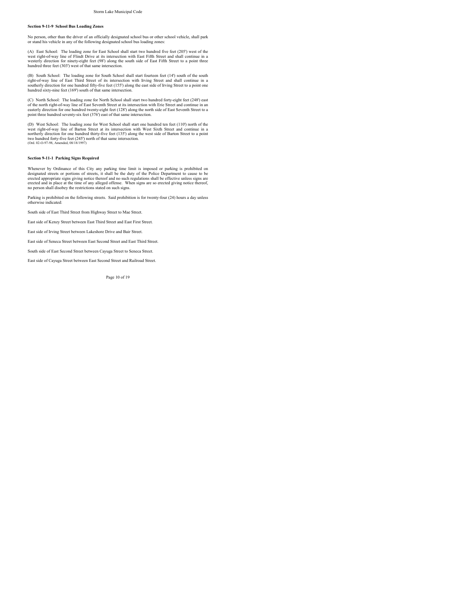### **Section 9-11-9 School Bus Loading Zones**

No person, other than the driver of an officially designated school bus or other school vehicle, shall park or stand his vehicle in any of the following designated school bus loading zones:

(A) East School: The loading zone for East School shall start two hundred five feet (205') west of the<br>west right-of-way line of Flindt Drive at its intersection with East Fifth Street and shall continue in a<br>westerly dire hundred three feet (303') west of that same intersection.

(B) South School: The loading zone for South School shall start fourteen feet (14') south of the south<br>right-of-way line of East Third Street of its intersection with Irving Street and shall continue in a<br>southerly directi hundred sixty-nine feet (169') south of that same intersection.

(C) North School: The loading zone for North School shall start two hundred forty-eight feet (248') east<br>of the north right-of-way line of East Seventh Street at its intersection with Erie Street and continue in an<br>easterl point three hundred seventy-six feet (376') east of that same intersection.

(D) West School: The loading zone for West School shall start one hundred ten feet (110) north of the west right-of-way line of Barton Street it at is intersection with West Sixth Street and continue in a mortherly direct

#### **Section 9-11-1 Parking Signs Required**

Whenever by Ordinance of this City any parking time limit is imposed or parking is prohibited on designated streets or portions of streets, it shall be the duty of the Police Department to cause to be<br>erected appropriate signs giving notice thereof and no such regulations shall be effective unless signs are<br>erected an no person shall disobey the restrictions stated on such signs.

Parking is prohibited on the following streets. Said prohibition is for twenty-four (24) hours a day unless otherwise indicated:

South side of East Third Street from Highway Street to Mae Street.

East side of Kenzy Street between East Third Street and East First Street.

East side of Irving Street between Lakeshore Drive and Bair Street.

East side of Seneca Street between East Second Street and East Third Street.

South side of East Second Street between Cayuga Street to Seneca Street.

East side of Cayuga Street between East Second Street and Railroad Street.

Page 10 of 19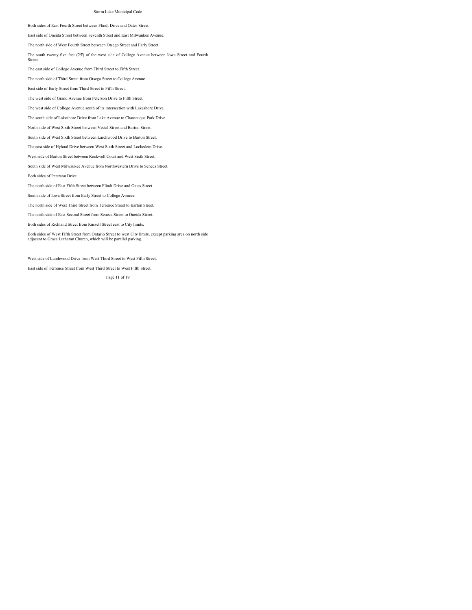Both sides of East Fourth Street between Flindt Drive and Oates Street.

East side of Oneida Street between Seventh Street and East Milwaukee Avenue.

The north side of West Fourth Street between Otsego Street and Early Street.

The south twenty-five feet (25') of the west side of College Avenue between Iowa Street and Fourth

The east side of College Avenue from Third Street to Fifth Street.

The north side of Third Street from Otsego Street to College Avenue.

East side of Early Street from Third Street to Fifth Street.

The west side of Grand Avenue from Peterson Drive to Fifth Street.

The west side of College Avenue south of its intersection with Lakeshore Drive.

The south side of Lakeshore Drive from Lake Avenue to Chautauqua Park Drive.

North side of West Sixth Street between Vestal Street and Barton Street.

South side of West Sixth Street between Larchwood Drive to Barton Street.

The east side of Hyland Drive between West Sixth Street and Lochedem Drive.

West side of Barton Street between Rockwell Court and West Sixth Street.

South side of West Milwaukee Avenue from Northwestern Drive to Seneca Street.

Both sides of Peterson Drive.

Street.

The north side of East Fifth Street between Flindt Drive and Oates Street.

South side of Iowa Street from Early Street to College Avenue.

The north side of West Third Street from Terrence Street to Barton Street.

The north side of East Second Street from Seneca Street to Oneida Street.

Both sides of Richland Street from Russell Street east to City limits.

Both sides of West Fifth Street from Ontario Street to west City limits, except parking area on north side adjacent to Grace Lutheran Church, which will be parallel parking.

West side of Larchwood Drive from West Third Street to West Fifth Street.

East side of Terrence Street from West Third Street to West Fifth Street.

Page 11 of 19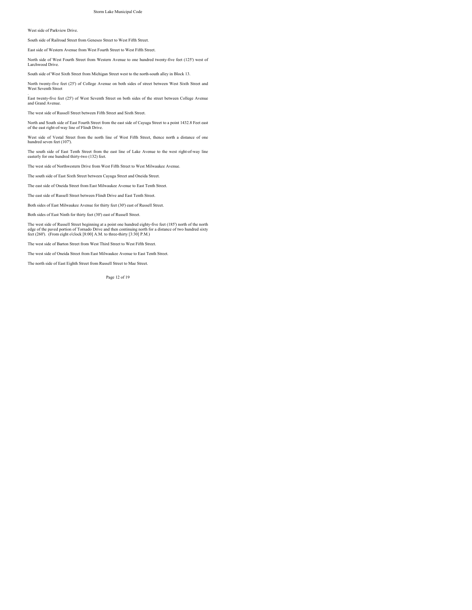### West side of Parkview Drive.

South side of Railroad Street from Geneseo Street to West Fifth Street.

East side of Western Avenue from West Fourth Street to West Fifth Street.

North side of West Fourth Street from Western Avenue to one hundred twenty-five feet (125') west of Larchwood Drive.

South side of West Sixth Street from Michigan Street west to the north-south alley in Block 13.

North twenty-five feet (25') of College Avenue on both sides of street between West Sixth Street and West Seventh Street

. East twenty-five feet (25') of West Seventh Street on both sides of the street between College Avenue and Grand Avenue.

The west side of Russell Street between Fifth Street and Sixth Street.

North and South side of East Fourth Street from the east side of Cayuga Street to a point 1432.8 Feet east of the east right-of-way line of Flindt Drive.

West side of Vestal Street from the north line of West Fifth Street, thence north a distance of one hundred seven feet (107').

The south side of East Tenth Street from the east line of Lake Avenue to the west right-of-way line easterly for one hundred thirty-two (132) feet.

The west side of Northwestern Drive from West Fifth Street to West Milwaukee Avenue.

The south side of East Sixth Street between Cayuga Street and Oneida Street.

The east side of Oneida Street from East Milwaukee Avenue to East Tenth Street.

The east side of Russell Street between Flindt Drive and East Tenth Street.

Both sides of East Milwaukee Avenue for thirty feet (30') east of Russell Street.

Both sides of East Ninth for thirty feet (30') east of Russell Street.

The west side of Russell Street beginning at a point one hundred eighty-five feet (185') north of the north edge of the paved portion of Tornado Drive and then continuing north for a distance of two hundred sixty feet (260'). (From eight o'clock [8:00] A.M. to three-thirty [3:30] P.M.)

The west side of Barton Street from West Third Street to West Fifth Street.

The west side of Oneida Street from East Milwaukee Avenue to East Tenth Street.

The north side of East Eighth Street from Russell Street to Mae Street.

Page 12 of 19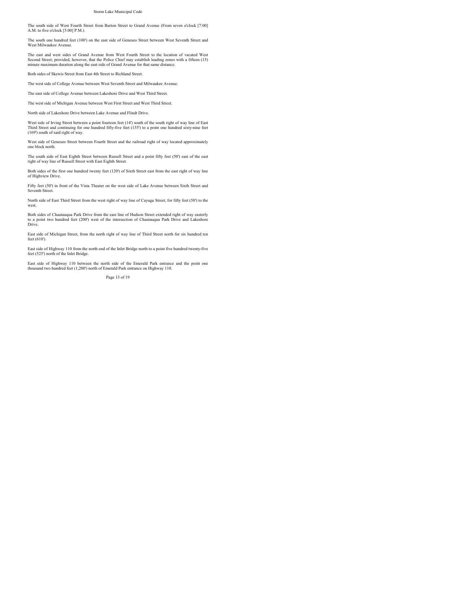The south side of West Fourth Street from Barton Street to Grand Avenue (From seven o'clock [7:00] A.M. to five o'clock [5:00] P.M.).

The south one hundred feet (100') on the east side of Geneseo Street between West Seventh Street and West Milwaukee Avenue.

The east and west sides of Grand Avenue from West Fourth Street to the location of vacated West Second Street; provided, however, that the Police Chief may establish loading zones with a fifteen (15) minute maximum duration along the east side of Grand Avenue for that same distance.

Both sides of Skewis Street from East 4th Street to Richland Street.

The west side of College Avenue between West Seventh Street and Milwaukee Avenue.

The east side of College Avenue between Lakeshore Drive and West Third Street.

The west side of Michigan Avenue between West First Street and West Third Street.

North side of Lakeshore Drive between Lake Avenue and Flindt Drive.

West side of Irving Street between a point fourteen feet (14') south of the south right of way line of East<br>Third Street and continuing for one hundred fifty-five feet (155') to a point one hundred sixty-nine feet<br>(169') s

West side of Geneseo Street between Fourth Street and the railroad right of way located approximately one block north.

The south side of East Eighth Street between Russell Street and a point fifty feet (50') east of the east right of way line of Russell Street with East Eighth Street.

Both sides of the first one hundred twenty feet (120') of Sixth Street east from the east right of way line of Highview Drive.

Fifty feet (50') in front of the Vista Theater on the west side of Lake Avenue between Sixth Street and Seventh Street.

North side of East Third Street from the west right of way line of Cayuga Street, for fifty feet (50') to the west

Both sides of Chautauqua Park Drive from the east line of Hudson Street extended right of way easterly to a point two hundred feet (200') west of the intersection of Chautauqua Park Drive and Lakeshore Drive.

East side of Michigan Street, from the north right of way line of Third Street north for six hundred ten feet (610').

East side of Highway 110 from the north end of the Inlet Bridge north to a point five hundred twenty-five feet (525') north of the Inlet Bridge.

East side of Highway 110 between the north side of the Emerald Park entrance and the point one thousand two hundred feet (1,200') north of Emerald Park entrance on Highway 110.

Page 13 of 19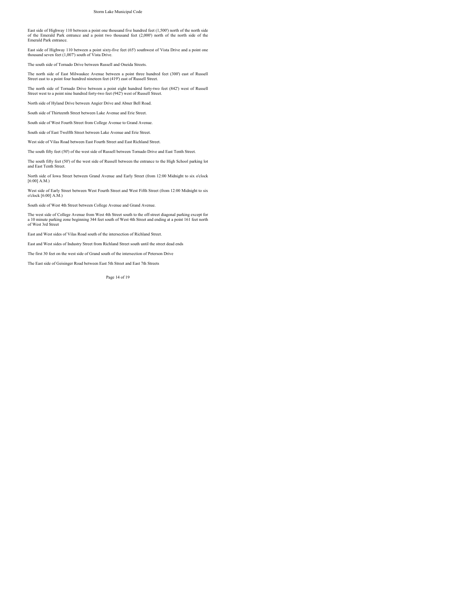East side of Highway 110 between a point one thousand five hundred feet (1,500') north of the north side of the Emerald Park entrance and a point two thousand feet (2,000') north of the north side of the Emerald Park entrance.

East side of Highway 110 between a point sixty-five feet (65') southwest of Vista Drive and a point one thousand seven feet (1,007') south of Vista Drive.

The south side of Tornado Drive between Russell and Oneida Streets.

The north side of East Milwaukee Avenue between a point three hundred feet (300') east of Russell Street east to a point four hundred nineteen feet (419') east of Russell Street.

The north side of Tornado Drive between a point eight hundred forty-two feet (842') west of Russell Street west to a point nine hundred forty-two feet (942') west of Russell Street.

North side of Hyland Drive between Angier Drive and Abner Bell Road.

South side of Thirteenth Street between Lake Avenue and Erie Street.

South side of West Fourth Street from College Avenue to Grand Avenue.

South side of East Twelfth Street between Lake Avenue and Erie Street.

West side of Vilas Road between East Fourth Street and East Richland Street.

The south fifty feet (50') of the west side of Russell between Tornado Drive and East Tenth Street.

The south fifty feet (50') of the west side of Russell between the entrance to the High School parking lot and East Tenth Street.

North side of Iowa Street between Grand Avenue and Early Street (from 12:00 Midnight to six o'clock [6:00] A.M.)

West side of Early Street between West Fourth Street and West Fifth Street (from 12:00 Midnight to six o'clock [6:00] A.M.)

South side of West 4th Street between College Avenue and Grand Avenue.

The west side of College Avenue from West 4th Street south to the off-street diagonal parking except for a 10 minute parking zone beginning 344 feet south of West 4th Street and ending at a point 161 feet north of West 3rd Street

East and West sides of Vilas Road south of the intersection of Richland Street.

East and West sides of Industry Street from Richland Street south until the street dead ends

The first 30 feet on the west side of Grand south of the intersection of Peterson Drive

The East side of Geisinger Road between East 5th Street and East 7th Streets

Page 14 of 19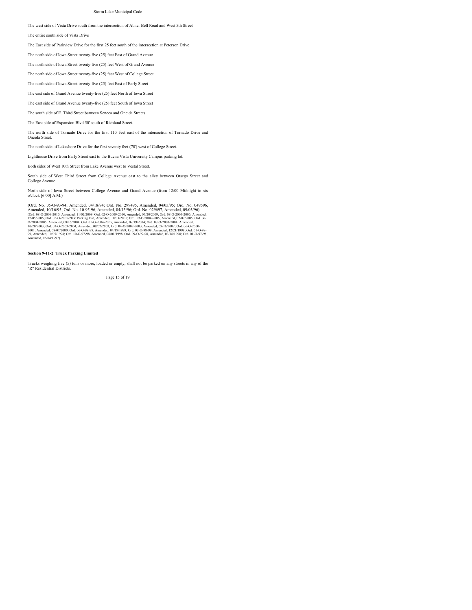The west side of Vista Drive south from the intersection of Abner Bell Road and West 5th Street

The entire south side of Vista Drive

The East side of Parkview Drive for the first 25 feet south of the intersection at Peterson Drive

The north side of Iowa Street twenty-five (25) feet East of Grand Avenue.

The north side of Iowa Street twenty-five (25) feet West of Grand Avenue

The north side of Iowa Street twenty-five (25) feet West of College Street

The north side of Iowa Street twenty-five (25) feet East of Early Street

The east side of Grand Avenue twenty-five (25) feet North of Iowa Street

The east side of Grand Avenue twenty-five (25) feet South of Iowa Street

The south side of E. Third Street between Seneca and Oneida Streets.

The East side of Expansion Blvd 50' south of Richland Street.

The north side of Tornado Drive for the first 110' feet east of the intersection of Tornado Drive and Oneida Street.

The north side of Lakeshore Drive for the first seventy feet (70') west of College Street.

Lighthouse Drive from Early Street east to the Buena Vista University Campus parking lot.

Both sides of West 10th Street from Lake Avenue west to Vestal Street.

South side of West Third Street from College Avenue east to the alley between Otsego Street and College Avenue

North side of Iowa Street between College Avenue and Grand Avenue (from 12:00 Midnight to six o'clock [6:00] A.M.)

(Ord. No. 05-G-93-94, Amended, 04/18/94; Ord. No. 299495, Amended, 04/103/95; Ord. No. 04/03/56, Ord. No. 049596, Amended, 04/15/96; Ord. No. 029697, Amended, 09/03/96)<br>(Ord. 08-0209-2010, Amended, 11/02/2009; Ord. 02-020

### **Section 9-11-2 Truck Parking Limited**

Trucks weighing five (5) tons or more, loaded or empty, shall not be parked on any streets in any of the "R" Residential Districts.

Page 15 of 19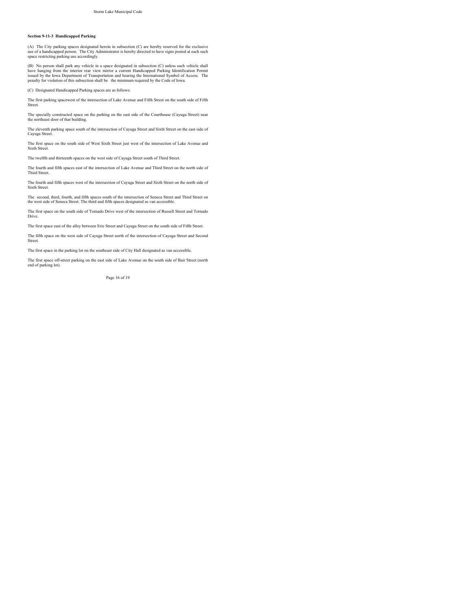#### **Section 9-11-3 Handicapped Parking**

(A) The City parking spaces designated herein in subsection (C) are hereby reserved for the exclusive use of a handicapped person. The City Administrator is hereby directed to have signs posted at each such space restricting parking use accordingly.

(B) No person shall park any vehicle in a space designated in subsection (C) unless such vehicle shall have hanging from the interior rear view mirror a current Handicapped Parking Identification Permit issued by the Iowa

(C) Designated Handicapped Parking spaces are as follows:

The first parking spacewest of the intersection of Lake Avenue and Fifth Street on the south side of Fifth Street.

The specially constructed space on the parking on the east side of the Courthouse (Cayuga Street) near the northeast door of that building.

The eleventh parking space south of the intersection of Cayuga Street and Sixth Street on the east side of Cayuga Street.

The first space on the south side of West Sixth Street just west of the intersection of Lake Avenue and Sixth Street.

The twelfth and thirteenth spaces on the west side of Cayuga Street south of Third Street.

The fourth and fifth spaces east of the intersection of Lake Avenue and Third Street on the north side of Third Street.

The fourth and fifth spaces west of the intersection of Cayuga Street and Sixth Street on the north side of Sixth Street.

The second, third, fourth, and fifth spaces south of the intersection of Seneca Street and Third Street on the west side of Seneca Street. The third and fifth spaces designated as van accessible.

The first space on the south side of Tornado Drive west of the intersection of Russell Street and Tornado Drive.

The first space east of the alley between Erie Street and Cayuga Street on the south side of Fifth Street.

The fifth space on the west side of Cayuga Street north of the intersection of Cayuga Street and Second Street

The first space in the parking lot on the southeast side of City Hall designated as van accessible.

The first space off-street parking on the east side of Lake Avenue on the south side of Bair Street (north end of parking lot).

Page 16 of 19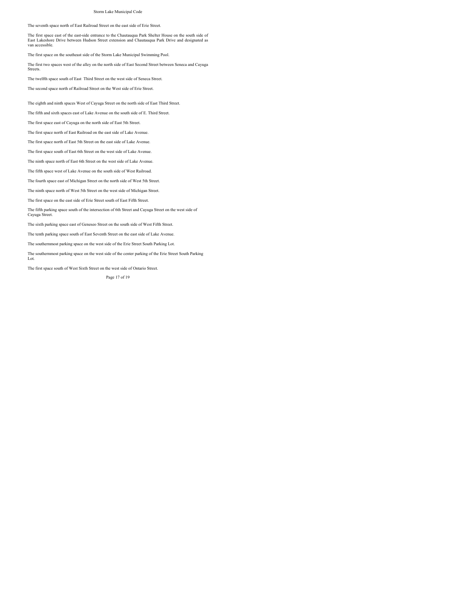The seventh space north of East Railroad Street on the east side of Erie Street.

The first space east of the east-side entrance to the Chautauqua Park Shelter House on the south side of East Lakeshore Drive between Hudson Street extension and Chautauqua Park Drive and designated as van accessible.

The first space on the southeast side of the Storm Lake Municipal Swimming Pool.

The first two spaces west of the alley on the north side of East Second Street between Seneca and Cayuga Streets.

The twelfth space south of East Third Street on the west side of Seneca Street.

The second space north of Railroad Street on the West side of Erie Street.

The eighth and ninth spaces West of Cayuga Street on the north side of East Third Street.

The fifth and sixth spaces east of Lake Avenue on the south side of E. Third Street.

The first space east of Cayuga on the north side of East 5th Street.

The first space north of East Railroad on the east side of Lake Avenue.

The first space north of East 5th Street on the east side of Lake Avenue.

The first space south of East 6th Street on the west side of Lake Avenue.

The ninth space north of East 6th Street on the west side of Lake Avenue.

The fifth space west of Lake Avenue on the south side of West Railroad.

The fourth space east of Michigan Street on the north side of West 5th Street.

The ninth space north of West 5th Street on the west side of Michigan Street.

The first space on the east side of Erie Street south of East Fifth Street.

The fifth parking space south of the intersection of 6th Street and Cayuga Street on the west side of Cayuga Street.

The sixth parking space east of Geneseo Street on the south side of West Fifth Street.

The tenth parking space south of East Seventh Street on the east side of Lake Avenue.

The southernmost parking space on the west side of the Erie Street South Parking Lot.

The southernmost parking space on the west side of the center parking of the Erie Street South Parking Lot.

The first space south of West Sixth Street on the west side of Ontario Street.

Page 17 of 19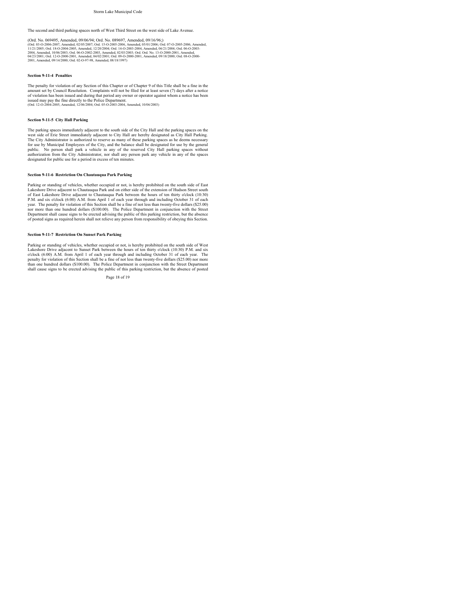The second and third parking spaces north of West Third Street on the west side of Lake Avenue.

(Ord. No. 069495, Amended, 09/06/94; Ord. ISo. 089697, Amended, 09/16/96;)<br>(Ord. 03-0-2006-2007, Amended, 02/05/2007; Ord. 15-0-2005-2006, Amended, 05/01/2006; Ord. 07-0-2005-2006, Amended,<br>11/21/2006; Ord. 18-0-2004-2005,

### **Section 9-11-4 Penalties**

The penalty for violation of any Section of this Chapter or of Chapter 9 of this Title shall be a fine in the amount set by Council Resolution. Complaints will not be filed for at least seven (7) days after a notice<br>of violation has been issued and during that period any owner or operator against whom a notice has been<br>issued may (Ord. 12-O-2004-2005, Amended, 12/06/2004; Ord. 05-O-2003-2004, Amended, 10/06/2003)

### **Section 9-11-5 City Hall Parking**

The parking spaces immediately adjacent to the south side of the City Hall and the parking spaces on the west side of Erie Street immediately adjacent to City Hall are hereby designated as City Hall Parking.<br>The City Admin public. No person shall park a vehicle in any of the reserved City Hall parking spaces without<br>authorization from the City Administrator, nor shall any person park any vehicle in any of the spaces<br>designated for public use

### **Section 9-11-6 Restriction On Chautauqua Park Parking**

Parking or standing of vehicles, whether occupied or not, is hereby prohibited on the south side of East Lakeshore Drive adjacent to Chautauqua Park and on either side of the extension of Hudson Street south<br>of East Lakeshore Drive adjacent to Chautauqua Park between the hours of ten thirty o'clock (10:30)<br>P.M. and six o'cloc year. The penalty for violation of this Section shall be a fine of not less than twenty-five dollars (\$25.00) nor more than one hundred dollars (\$100.00). The Police Department in conjunction with the Street Department shall cause signs to be erected advising the public of this parking restriction, but the absence of posted signs as required herein shall not relieve any person from responsibility of obeying this Section.

#### **Section 9-11-7 Restriction On Sunset Park Parking**

Parking or standing of vehicles, whether occupied or not, is hereby prohibited on the south side of West<br>Lakeshore Drive adjacent to Sunset Park between the hours of ten thirty o'clock (10:30) P.M. and six<br>o'clock (6:00) A penalty for violation of this Section shall be a fine of not less than twenty-five dollars (\$25.00) nor more than one hundred dollars (\$100.00). The Police Department in conjunction with the Street Department shall cause signs to be erected advising the public of this parking restriction, but the absence of posted

Page 18 of 19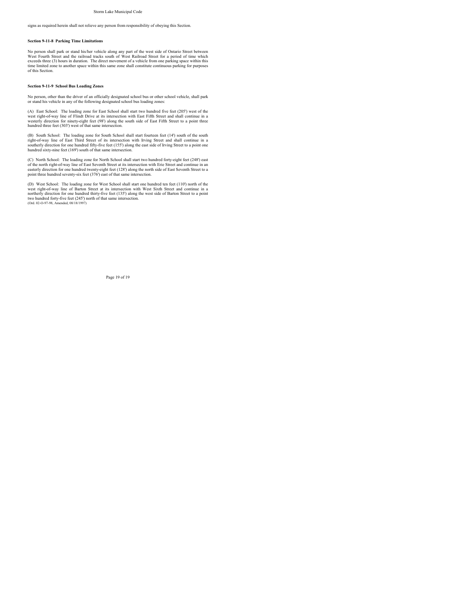signs as required herein shall not relieve any person from responsibility of obeying this Section.

#### **Section 9-11-8 Parking Time Limitations**

No person shall park or stand his/her vehicle along any part of the west side of Ontario Street between<br>West Fourth Street and the railroad tracks south of West Railroad Street for a period of time which<br>exceeds three (3) time limited zone to another space within this same zone shall constitute continuous parking for purposes of this Section.

#### **Section 9-11-9 School Bus Loading Zones**

No person, other than the driver of an officially designated school bus or other school vehicle, shall park or stand his vehicle in any of the following designated school bus loading zones:

(A) East School: The loading zone for East School shall start two hundred five feet (205') west of the west right-of-way line of Flindt Drive at its intersection with East Fifth Street and shall continue in a westerly direction for ninety-eight feet (98') along the south side of East Fifth Street to a point three hundred three feet (303') west of that same intersection.

(B) South School: The loading zone for South School shall start fourteen feet (14') south of the south<br>right-of-way line of East Third Street of its intersection with Irving Street and shall continue in a<br>southerly directi hundred sixty-nine feet (169') south of that same intersection.

(C) North School: The loading zone for North School shall start two hundred forty-eight feet (248') east of the north right-of-way line of East Seventh Street at its intersection with Erie Street and continue in an easterly direction for one hundred twenty-eight feet (128') along the north side of East Seventh Street to a point three hundred seventy-six feet (376') east of that same intersection.

(D) West School: The loading zone for West School shall start one hundred ten feet (110) north of the west right-of-way line of Barton Street it at is intersection with West Sixth Street and continue in a mortherly direct

Page 19 of 19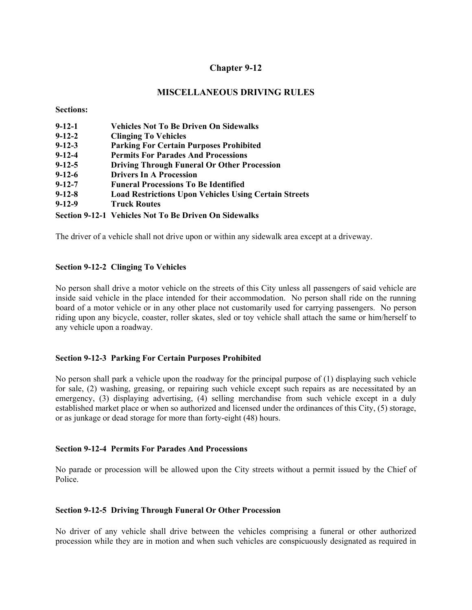## **MISCELLANEOUS DRIVING RULES**

**Sections:** 

| $9 - 12 - 1$ | <b>Vehicles Not To Be Driven On Sidewalks</b>                |
|--------------|--------------------------------------------------------------|
| $9 - 12 - 2$ | <b>Clinging To Vehicles</b>                                  |
| $9 - 12 - 3$ | <b>Parking For Certain Purposes Prohibited</b>               |
| $9 - 12 - 4$ | <b>Permits For Parades And Processions</b>                   |
| $9 - 12 - 5$ | <b>Driving Through Funeral Or Other Procession</b>           |
| $9 - 12 - 6$ | <b>Drivers In A Procession</b>                               |
| $9 - 12 - 7$ | <b>Funeral Processions To Be Identified</b>                  |
| $9 - 12 - 8$ | <b>Load Restrictions Upon Vehicles Using Certain Streets</b> |
| $9 - 12 - 9$ | <b>Truck Routes</b>                                          |
|              | Section 9-12-1 Vehicles Not To Be Driven On Sidewalks        |

The driver of a vehicle shall not drive upon or within any sidewalk area except at a driveway.

## **Section 9-12-2 Clinging To Vehicles**

No person shall drive a motor vehicle on the streets of this City unless all passengers of said vehicle are inside said vehicle in the place intended for their accommodation. No person shall ride on the running board of a motor vehicle or in any other place not customarily used for carrying passengers. No person riding upon any bicycle, coaster, roller skates, sled or toy vehicle shall attach the same or him/herself to any vehicle upon a roadway.

## **Section 9-12-3 Parking For Certain Purposes Prohibited**

No person shall park a vehicle upon the roadway for the principal purpose of (1) displaying such vehicle for sale, (2) washing, greasing, or repairing such vehicle except such repairs as are necessitated by an emergency, (3) displaying advertising, (4) selling merchandise from such vehicle except in a duly established market place or when so authorized and licensed under the ordinances of this City, (5) storage, or as junkage or dead storage for more than forty-eight (48) hours.

## **Section 9-12-4 Permits For Parades And Processions**

No parade or procession will be allowed upon the City streets without a permit issued by the Chief of Police.

### **Section 9-12-5 Driving Through Funeral Or Other Procession**

No driver of any vehicle shall drive between the vehicles comprising a funeral or other authorized procession while they are in motion and when such vehicles are conspicuously designated as required in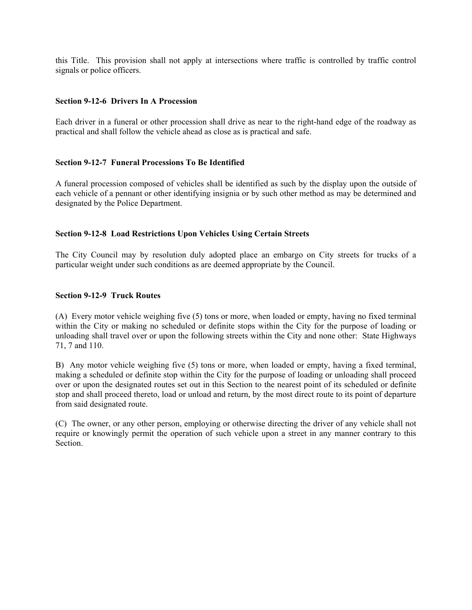this Title. This provision shall not apply at intersections where traffic is controlled by traffic control signals or police officers.

### **Section 9-12-6 Drivers In A Procession**

Each driver in a funeral or other procession shall drive as near to the right-hand edge of the roadway as practical and shall follow the vehicle ahead as close as is practical and safe.

### **Section 9-12-7 Funeral Processions To Be Identified**

A funeral procession composed of vehicles shall be identified as such by the display upon the outside of each vehicle of a pennant or other identifying insignia or by such other method as may be determined and designated by the Police Department.

### **Section 9-12-8 Load Restrictions Upon Vehicles Using Certain Streets**

The City Council may by resolution duly adopted place an embargo on City streets for trucks of a particular weight under such conditions as are deemed appropriate by the Council.

### **Section 9-12-9 Truck Routes**

(A) Every motor vehicle weighing five (5) tons or more, when loaded or empty, having no fixed terminal within the City or making no scheduled or definite stops within the City for the purpose of loading or unloading shall travel over or upon the following streets within the City and none other: State Highways 71, 7 and 110.

B) Any motor vehicle weighing five (5) tons or more, when loaded or empty, having a fixed terminal, making a scheduled or definite stop within the City for the purpose of loading or unloading shall proceed over or upon the designated routes set out in this Section to the nearest point of its scheduled or definite stop and shall proceed thereto, load or unload and return, by the most direct route to its point of departure from said designated route.

(C) The owner, or any other person, employing or otherwise directing the driver of any vehicle shall not require or knowingly permit the operation of such vehicle upon a street in any manner contrary to this Section.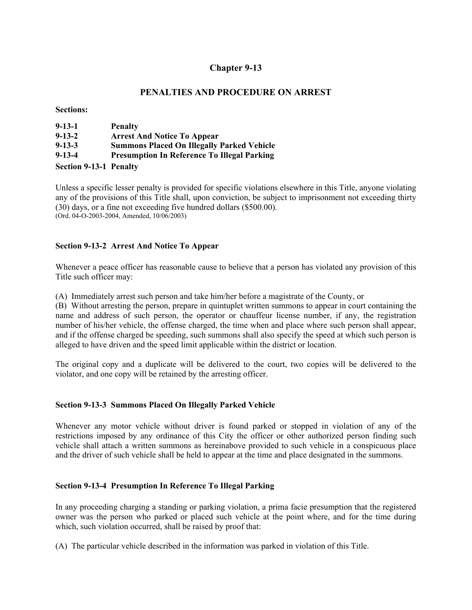## **PENALTIES AND PROCEDURE ON ARREST**

**Sections:** 

| $9 - 13 - 1$                  | <b>Penalty</b>                                     |
|-------------------------------|----------------------------------------------------|
| $9 - 13 - 2$                  | <b>Arrest And Notice To Appear</b>                 |
| $9 - 13 - 3$                  | <b>Summons Placed On Illegally Parked Vehicle</b>  |
| $9 - 13 - 4$                  | <b>Presumption In Reference To Illegal Parking</b> |
| <b>Section 9-13-1 Penalty</b> |                                                    |

Unless a specific lesser penalty is provided for specific violations elsewhere in this Title, anyone violating any of the provisions of this Title shall, upon conviction, be subject to imprisonment not exceeding thirty (30) days, or a fine not exceeding five hundred dollars (\$500.00). (Ord. 04-O-2003-2004, Amended, 10/06/2003)

## **Section 9-13-2 Arrest And Notice To Appear**

Whenever a peace officer has reasonable cause to believe that a person has violated any provision of this Title such officer may:

(A) Immediately arrest such person and take him/her before a magistrate of the County, or

(B) Without arresting the person, prepare in quintuplet written summons to appear in court containing the name and address of such person, the operator or chauffeur license number, if any, the registration number of his/her vehicle, the offense charged, the time when and place where such person shall appear, and if the offense charged be speeding, such summons shall also specify the speed at which such person is alleged to have driven and the speed limit applicable within the district or location.

The original copy and a duplicate will be delivered to the court, two copies will be delivered to the violator, and one copy will be retained by the arresting officer.

### **Section 9-13-3 Summons Placed On Illegally Parked Vehicle**

Whenever any motor vehicle without driver is found parked or stopped in violation of any of the restrictions imposed by any ordinance of this City the officer or other authorized person finding such vehicle shall attach a written summons as hereinabove provided to such vehicle in a conspicuous place and the driver of such vehicle shall be held to appear at the time and place designated in the summons.

### **Section 9-13-4 Presumption In Reference To Illegal Parking**

In any proceeding charging a standing or parking violation, a prima facie presumption that the registered owner was the person who parked or placed such vehicle at the point where, and for the time during which, such violation occurred, shall be raised by proof that:

(A) The particular vehicle described in the information was parked in violation of this Title.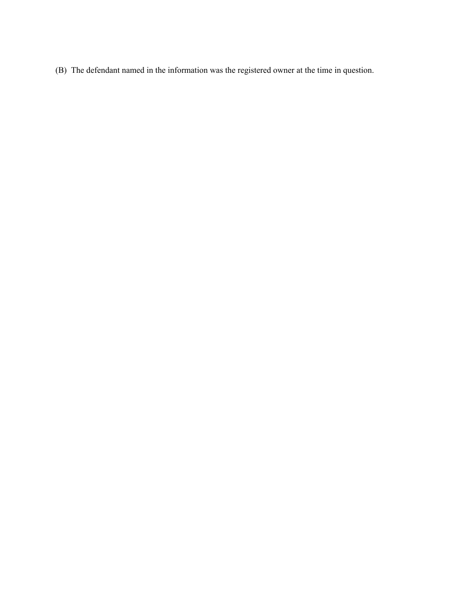(B) The defendant named in the information was the registered owner at the time in question.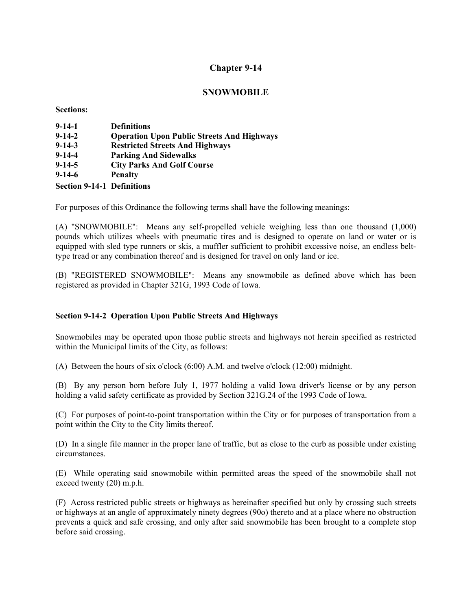## **SNOWMOBILE**

**Sections:** 

| $9 - 14 - 1$                      | <b>Definitions</b>                                |
|-----------------------------------|---------------------------------------------------|
| $9-14-2$                          | <b>Operation Upon Public Streets And Highways</b> |
| $9 - 14 - 3$                      | <b>Restricted Streets And Highways</b>            |
| $9 - 14 - 4$                      | <b>Parking And Sidewalks</b>                      |
| $9 - 14 - 5$                      | <b>City Parks And Golf Course</b>                 |
| $9-14-6$                          | <b>Penalty</b>                                    |
| <b>Section 9-14-1 Definitions</b> |                                                   |

For purposes of this Ordinance the following terms shall have the following meanings:

(A) "SNOWMOBILE": Means any self-propelled vehicle weighing less than one thousand (1,000) pounds which utilizes wheels with pneumatic tires and is designed to operate on land or water or is equipped with sled type runners or skis, a muffler sufficient to prohibit excessive noise, an endless belttype tread or any combination thereof and is designed for travel on only land or ice.

(B) "REGISTERED SNOWMOBILE": Means any snowmobile as defined above which has been registered as provided in Chapter 321G, 1993 Code of Iowa.

## **Section 9-14-2 Operation Upon Public Streets And Highways**

Snowmobiles may be operated upon those public streets and highways not herein specified as restricted within the Municipal limits of the City, as follows:

(A) Between the hours of six o'clock (6:00) A.M. and twelve o'clock (12:00) midnight.

(B) By any person born before July 1, 1977 holding a valid Iowa driver's license or by any person holding a valid safety certificate as provided by Section 321G.24 of the 1993 Code of Iowa.

(C) For purposes of point-to-point transportation within the City or for purposes of transportation from a point within the City to the City limits thereof.

(D) In a single file manner in the proper lane of traffic, but as close to the curb as possible under existing circumstances.

(E) While operating said snowmobile within permitted areas the speed of the snowmobile shall not exceed twenty (20) m.p.h.

(F) Across restricted public streets or highways as hereinafter specified but only by crossing such streets or highways at an angle of approximately ninety degrees (90o) thereto and at a place where no obstruction prevents a quick and safe crossing, and only after said snowmobile has been brought to a complete stop before said crossing.